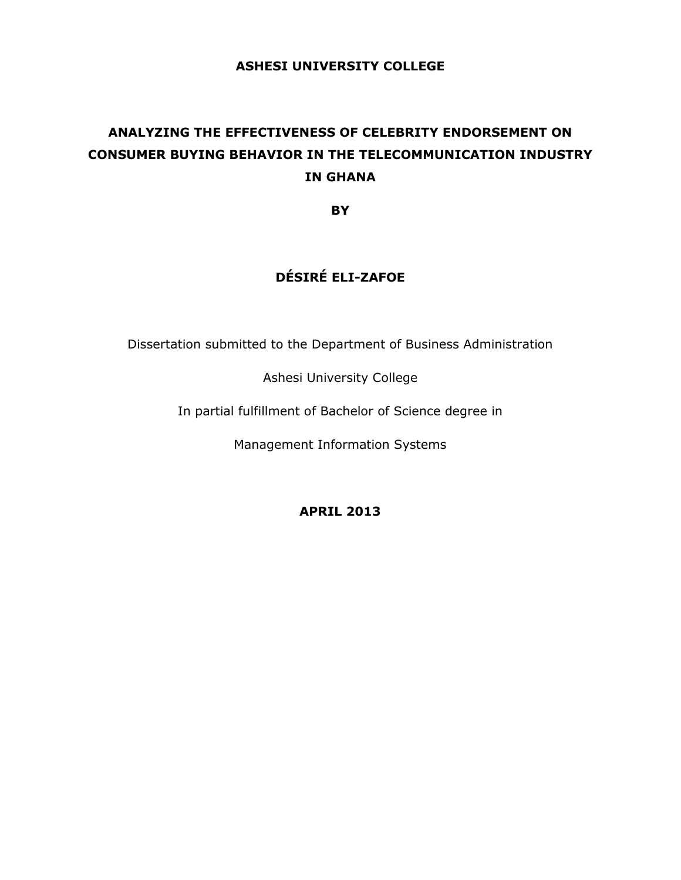## **ASHESI UNIVERSITY COLLEGE**

# **ANALYZING THE EFFECTIVENESS OF CELEBRITY ENDORSEMENT ON CONSUMER BUYING BEHAVIOR IN THE TELECOMMUNICATION INDUSTRY IN GHANA**

**BY**

## **DÉSIRÉ ELI-ZAFOE**

Dissertation submitted to the Department of Business Administration

Ashesi University College

In partial fulfillment of Bachelor of Science degree in

Management Information Systems

**APRIL 2013**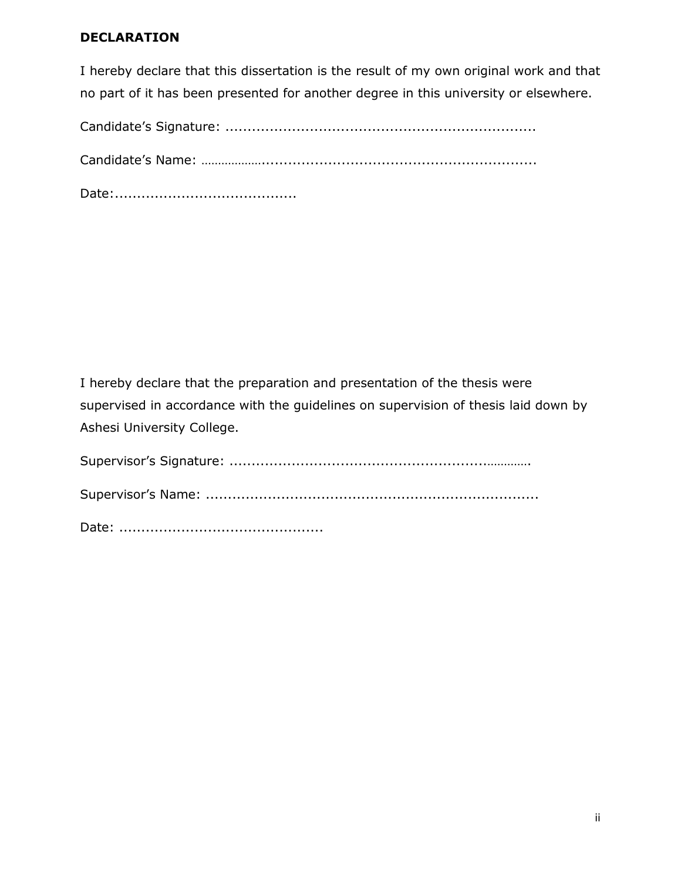## **DECLARATION**

I hereby declare that this dissertation is the result of my own original work and that no part of it has been presented for another degree in this university or elsewhere.

Candidate's Signature: ......................................................................

Candidate's Name: ………………..............................................................

Date:.........................................

I hereby declare that the preparation and presentation of the thesis were supervised in accordance with the guidelines on supervision of thesis laid down by Ashesi University College.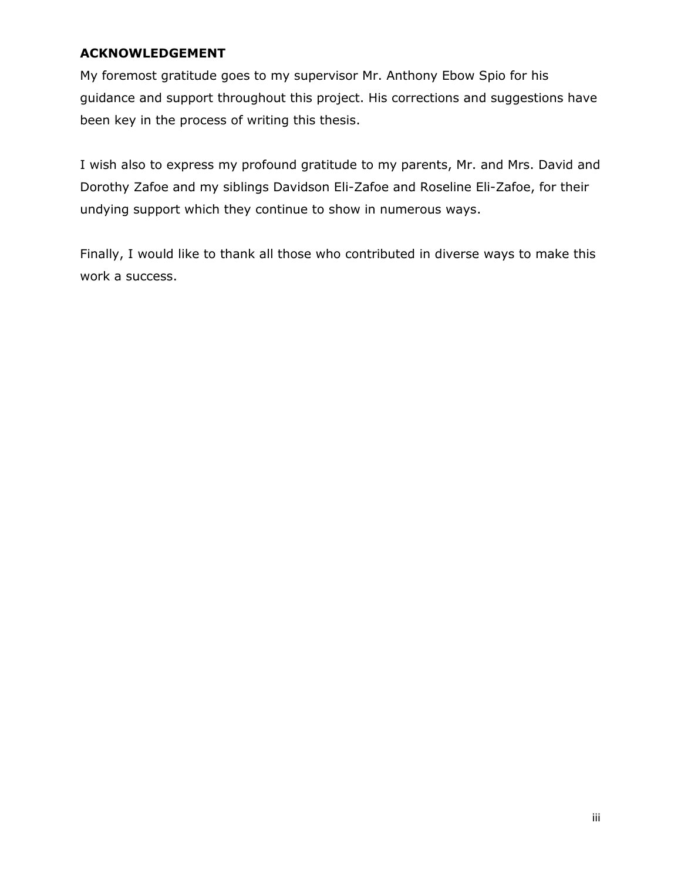## <span id="page-2-0"></span>**ACKNOWLEDGEMENT**

My foremost gratitude goes to my supervisor Mr. Anthony Ebow Spio for his guidance and support throughout this project. His corrections and suggestions have been key in the process of writing this thesis.

I wish also to express my profound gratitude to my parents, Mr. and Mrs. David and Dorothy Zafoe and my siblings Davidson Eli-Zafoe and Roseline Eli-Zafoe, for their undying support which they continue to show in numerous ways.

Finally, I would like to thank all those who contributed in diverse ways to make this work a success.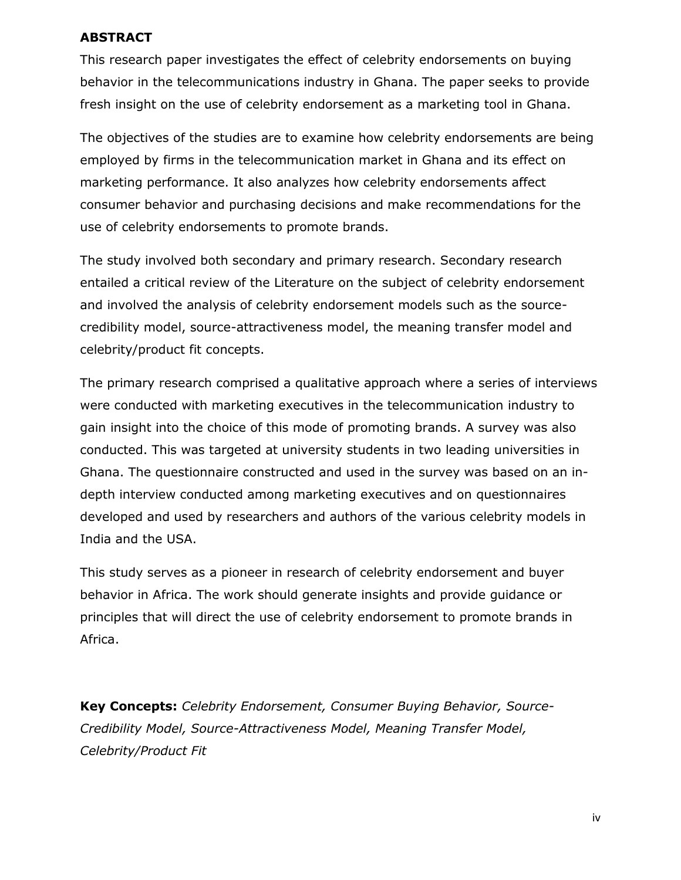## <span id="page-3-0"></span>**ABSTRACT**

This research paper investigates the effect of celebrity endorsements on buying behavior in the telecommunications industry in Ghana. The paper seeks to provide fresh insight on the use of celebrity endorsement as a marketing tool in Ghana.

The objectives of the studies are to examine how celebrity endorsements are being employed by firms in the telecommunication market in Ghana and its effect on marketing performance. It also analyzes how celebrity endorsements affect consumer behavior and purchasing decisions and make recommendations for the use of celebrity endorsements to promote brands.

The study involved both secondary and primary research. Secondary research entailed a critical review of the Literature on the subject of celebrity endorsement and involved the analysis of celebrity endorsement models such as the sourcecredibility model, source-attractiveness model, the meaning transfer model and celebrity/product fit concepts.

The primary research comprised a qualitative approach where a series of interviews were conducted with marketing executives in the telecommunication industry to gain insight into the choice of this mode of promoting brands. A survey was also conducted. This was targeted at university students in two leading universities in Ghana. The questionnaire constructed and used in the survey was based on an indepth interview conducted among marketing executives and on questionnaires developed and used by researchers and authors of the various celebrity models in India and the USA.

This study serves as a pioneer in research of celebrity endorsement and buyer behavior in Africa. The work should generate insights and provide guidance or principles that will direct the use of celebrity endorsement to promote brands in Africa.

**Key Concepts:** *Celebrity Endorsement, Consumer Buying Behavior, Source-Credibility Model, Source-Attractiveness Model, Meaning Transfer Model, Celebrity/Product Fit*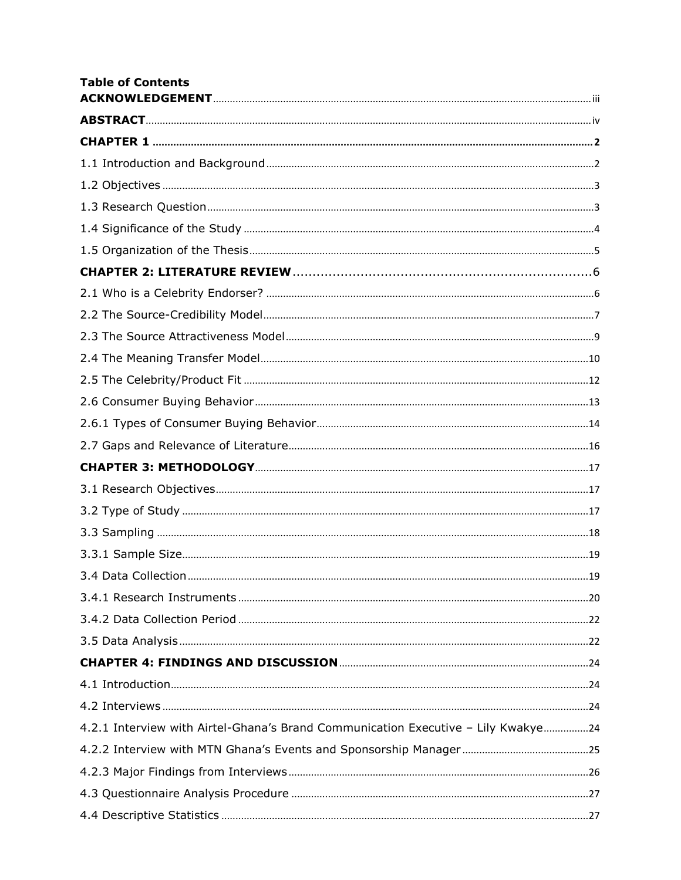| <b>Table of Contents</b>                                                          |  |
|-----------------------------------------------------------------------------------|--|
|                                                                                   |  |
|                                                                                   |  |
|                                                                                   |  |
|                                                                                   |  |
|                                                                                   |  |
|                                                                                   |  |
|                                                                                   |  |
|                                                                                   |  |
|                                                                                   |  |
|                                                                                   |  |
|                                                                                   |  |
|                                                                                   |  |
|                                                                                   |  |
|                                                                                   |  |
|                                                                                   |  |
|                                                                                   |  |
|                                                                                   |  |
|                                                                                   |  |
|                                                                                   |  |
|                                                                                   |  |
|                                                                                   |  |
|                                                                                   |  |
|                                                                                   |  |
|                                                                                   |  |
|                                                                                   |  |
|                                                                                   |  |
|                                                                                   |  |
|                                                                                   |  |
| 4.2.1 Interview with Airtel-Ghana's Brand Communication Executive - Lily Kwakye24 |  |
|                                                                                   |  |
|                                                                                   |  |
|                                                                                   |  |
|                                                                                   |  |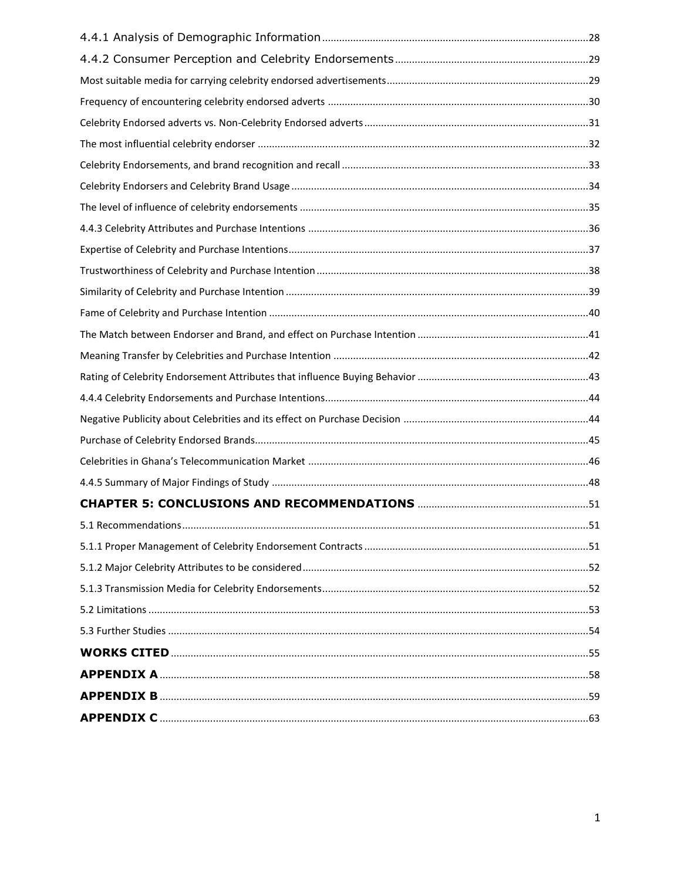<span id="page-5-0"></span>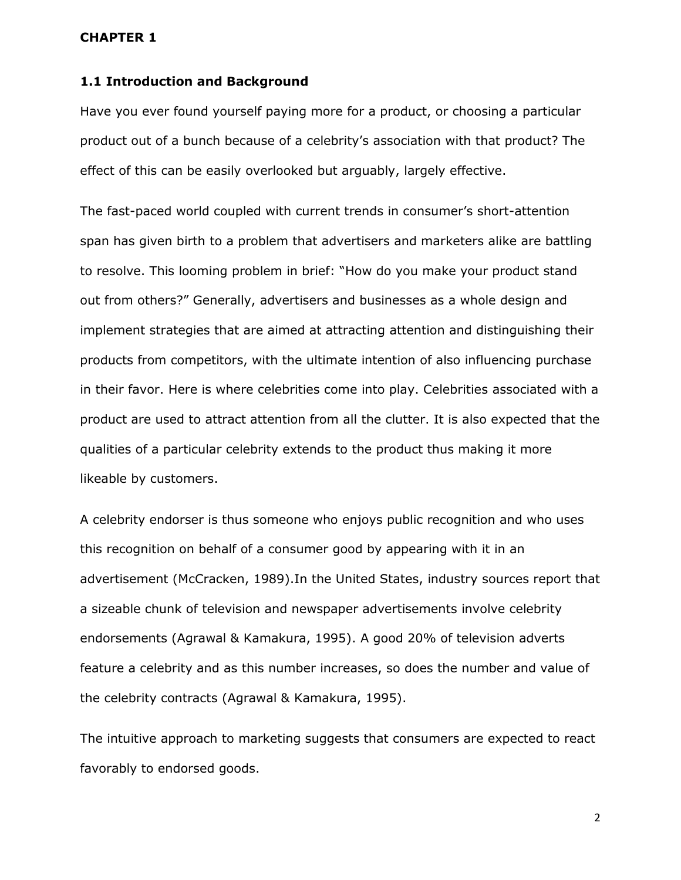#### <span id="page-6-0"></span>**CHAPTER 1**

#### **1.1 Introduction and Background**

Have you ever found yourself paying more for a product, or choosing a particular product out of a bunch because of a celebrity's association with that product? The effect of this can be easily overlooked but arguably, largely effective.

The fast-paced world coupled with current trends in consumer's short-attention span has given birth to a problem that advertisers and marketers alike are battling to resolve. This looming problem in brief: "How do you make your product stand out from others?" Generally, advertisers and businesses as a whole design and implement strategies that are aimed at attracting attention and distinguishing their products from competitors, with the ultimate intention of also influencing purchase in their favor. Here is where celebrities come into play. Celebrities associated with a product are used to attract attention from all the clutter. It is also expected that the qualities of a particular celebrity extends to the product thus making it more likeable by customers.

A celebrity endorser is thus someone who enjoys public recognition and who uses this recognition on behalf of a consumer good by appearing with it in an advertisement (McCracken, 1989).In the United States, industry sources report that a sizeable chunk of television and newspaper advertisements involve celebrity endorsements (Agrawal & Kamakura, 1995). A good 20% of television adverts feature a celebrity and as this number increases, so does the number and value of the celebrity contracts (Agrawal & Kamakura, 1995).

The intuitive approach to marketing suggests that consumers are expected to react favorably to endorsed goods.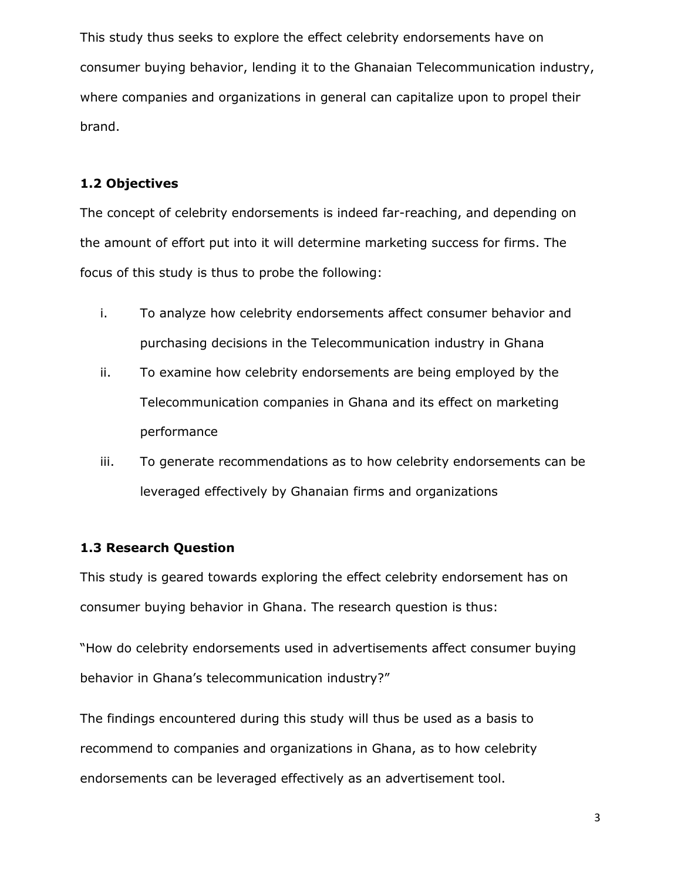This study thus seeks to explore the effect celebrity endorsements have on consumer buying behavior, lending it to the Ghanaian Telecommunication industry, where companies and organizations in general can capitalize upon to propel their brand.

## <span id="page-7-0"></span>**1.2 Objectives**

The concept of celebrity endorsements is indeed far-reaching, and depending on the amount of effort put into it will determine marketing success for firms. The focus of this study is thus to probe the following:

- i. To analyze how celebrity endorsements affect consumer behavior and purchasing decisions in the Telecommunication industry in Ghana
- ii. To examine how celebrity endorsements are being employed by the Telecommunication companies in Ghana and its effect on marketing performance
- iii. To generate recommendations as to how celebrity endorsements can be leveraged effectively by Ghanaian firms and organizations

## <span id="page-7-1"></span>**1.3 Research Question**

This study is geared towards exploring the effect celebrity endorsement has on consumer buying behavior in Ghana. The research question is thus:

"How do celebrity endorsements used in advertisements affect consumer buying behavior in Ghana's telecommunication industry?"

The findings encountered during this study will thus be used as a basis to recommend to companies and organizations in Ghana, as to how celebrity endorsements can be leveraged effectively as an advertisement tool.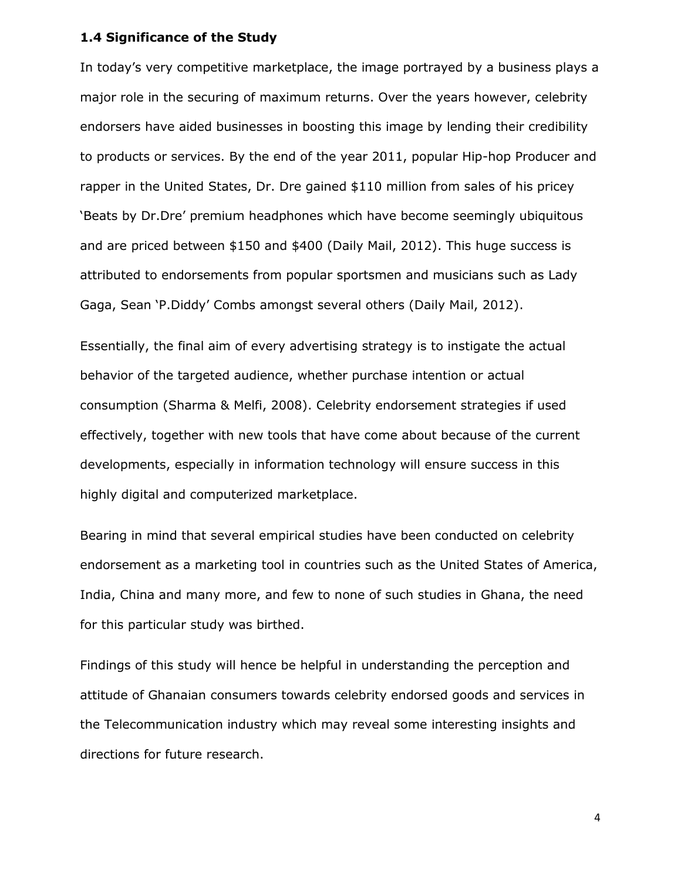## <span id="page-8-0"></span>**1.4 Significance of the Study**

In today's very competitive marketplace, the image portrayed by a business plays a major role in the securing of maximum returns. Over the years however, celebrity endorsers have aided businesses in boosting this image by lending their credibility to products or services. By the end of the year 2011, popular Hip-hop Producer and rapper in the United States, Dr. Dre gained \$110 million from sales of his pricey 'Beats by Dr.Dre' premium headphones which have become seemingly ubiquitous and are priced between \$150 and \$400 (Daily Mail, 2012). This huge success is attributed to endorsements from popular sportsmen and musicians such as Lady Gaga, Sean 'P.Diddy' Combs amongst several others (Daily Mail, 2012).

Essentially, the final aim of every advertising strategy is to instigate the actual behavior of the targeted audience, whether purchase intention or actual consumption (Sharma & Melfi, 2008). Celebrity endorsement strategies if used effectively, together with new tools that have come about because of the current developments, especially in information technology will ensure success in this highly digital and computerized marketplace.

Bearing in mind that several empirical studies have been conducted on celebrity endorsement as a marketing tool in countries such as the United States of America, India, China and many more, and few to none of such studies in Ghana, the need for this particular study was birthed.

Findings of this study will hence be helpful in understanding the perception and attitude of Ghanaian consumers towards celebrity endorsed goods and services in the Telecommunication industry which may reveal some interesting insights and directions for future research.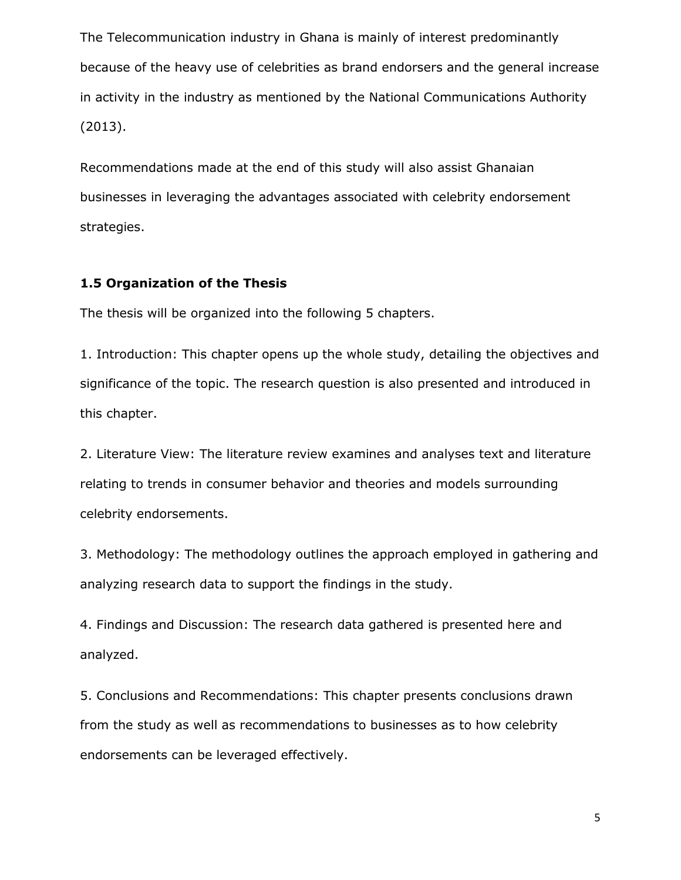The Telecommunication industry in Ghana is mainly of interest predominantly because of the heavy use of celebrities as brand endorsers and the general increase in activity in the industry as mentioned by the National Communications Authority (2013).

Recommendations made at the end of this study will also assist Ghanaian businesses in leveraging the advantages associated with celebrity endorsement strategies.

## <span id="page-9-0"></span>**1.5 Organization of the Thesis**

The thesis will be organized into the following 5 chapters.

1. Introduction: This chapter opens up the whole study, detailing the objectives and significance of the topic. The research question is also presented and introduced in this chapter.

2. Literature View: The literature review examines and analyses text and literature relating to trends in consumer behavior and theories and models surrounding celebrity endorsements.

3. Methodology: The methodology outlines the approach employed in gathering and analyzing research data to support the findings in the study.

4. Findings and Discussion: The research data gathered is presented here and analyzed.

5. Conclusions and Recommendations: This chapter presents conclusions drawn from the study as well as recommendations to businesses as to how celebrity endorsements can be leveraged effectively.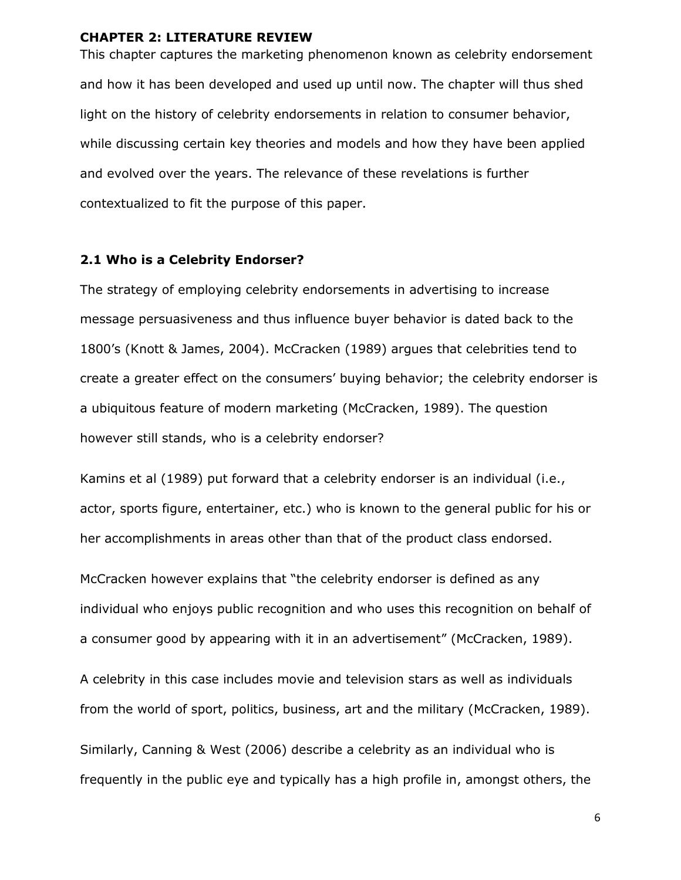## <span id="page-10-0"></span>**CHAPTER 2: LITERATURE REVIEW**

This chapter captures the marketing phenomenon known as celebrity endorsement and how it has been developed and used up until now. The chapter will thus shed light on the history of celebrity endorsements in relation to consumer behavior, while discussing certain key theories and models and how they have been applied and evolved over the years. The relevance of these revelations is further contextualized to fit the purpose of this paper.

#### <span id="page-10-1"></span>**2.1 Who is a Celebrity Endorser?**

The strategy of employing celebrity endorsements in advertising to increase message persuasiveness and thus influence buyer behavior is dated back to the 1800's (Knott & James, 2004). McCracken (1989) argues that celebrities tend to create a greater effect on the consumers' buying behavior; the celebrity endorser is a ubiquitous feature of modern marketing (McCracken, 1989). The question however still stands, who is a celebrity endorser?

Kamins et al (1989) put forward that a celebrity endorser is an individual (i.e., actor, sports figure, entertainer, etc.) who is known to the general public for his or her accomplishments in areas other than that of the product class endorsed.

McCracken however explains that "the celebrity endorser is defined as any individual who enjoys public recognition and who uses this recognition on behalf of a consumer good by appearing with it in an advertisement" (McCracken, 1989).

A celebrity in this case includes movie and television stars as well as individuals from the world of sport, politics, business, art and the military (McCracken, 1989).

Similarly, Canning & West (2006) describe a celebrity as an individual who is frequently in the public eye and typically has a high profile in, amongst others, the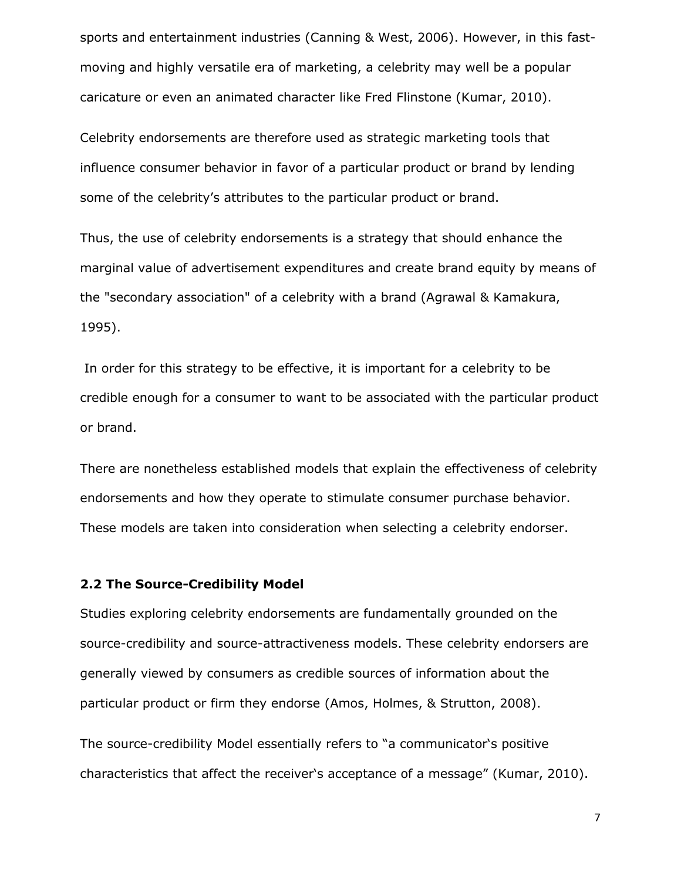sports and entertainment industries (Canning & West, 2006). However, in this fastmoving and highly versatile era of marketing, a celebrity may well be a popular caricature or even an animated character like Fred Flinstone (Kumar, 2010).

Celebrity endorsements are therefore used as strategic marketing tools that influence consumer behavior in favor of a particular product or brand by lending some of the celebrity's attributes to the particular product or brand.

Thus, the use of celebrity endorsements is a strategy that should enhance the marginal value of advertisement expenditures and create brand equity by means of the "secondary association" of a celebrity with a brand (Agrawal & Kamakura, 1995).

In order for this strategy to be effective, it is important for a celebrity to be credible enough for a consumer to want to be associated with the particular product or brand.

There are nonetheless established models that explain the effectiveness of celebrity endorsements and how they operate to stimulate consumer purchase behavior. These models are taken into consideration when selecting a celebrity endorser.

#### <span id="page-11-0"></span>**2.2 The Source-Credibility Model**

Studies exploring celebrity endorsements are fundamentally grounded on the source-credibility and source-attractiveness models. These celebrity endorsers are generally viewed by consumers as credible sources of information about the particular product or firm they endorse (Amos, Holmes, & Strutton, 2008).

The source-credibility Model essentially refers to "a communicator's positive characteristics that affect the receiver's acceptance of a message" (Kumar, 2010).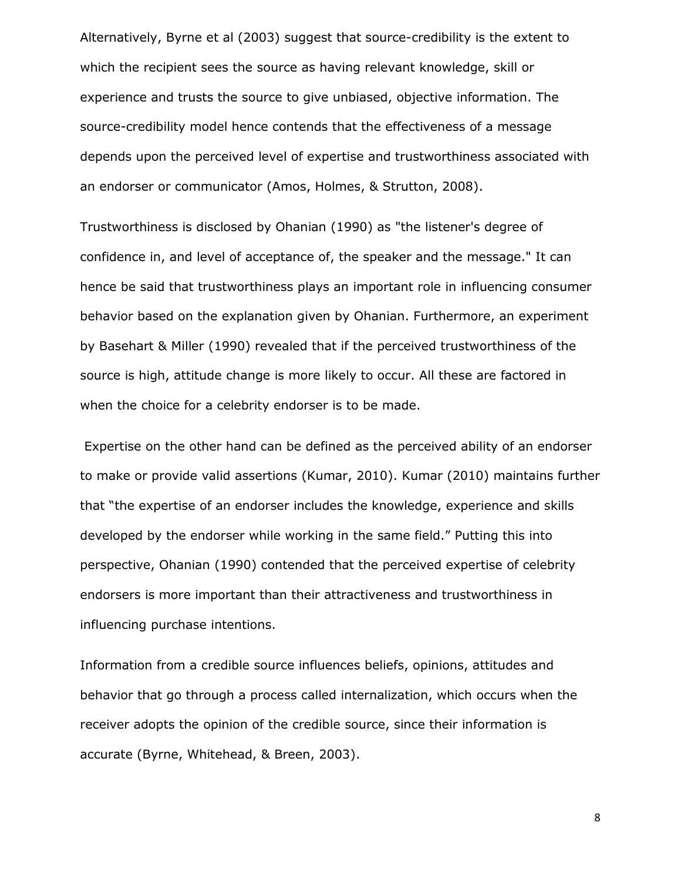Alternatively, Byrne et al (2003) suggest that source-credibility is the extent to which the recipient sees the source as having relevant knowledge, skill or experience and trusts the source to give unbiased, objective information. The source-credibility model hence contends that the effectiveness of a message depends upon the perceived level of expertise and trustworthiness associated with an endorser or communicator (Amos, Holmes, & Strutton, 2008).

Trustworthiness is disclosed by Ohanian (1990) as "the listener's degree of confidence in, and level of acceptance of, the speaker and the message." It can hence be said that trustworthiness plays an important role in influencing consumer behavior based on the explanation given by Ohanian. Furthermore, an experiment by Basehart & Miller (1990) revealed that if the perceived trustworthiness of the source is high, attitude change is more likely to occur. All these are factored in when the choice for a celebrity endorser is to be made.

Expertise on the other hand can be defined as the perceived ability of an endorser to make or provide valid assertions (Kumar, 2010). Kumar (2010) maintains further that "the expertise of an endorser includes the knowledge, experience and skills developed by the endorser while working in the same field." Putting this into perspective, Ohanian (1990) contended that the perceived expertise of celebrity endorsers is more important than their attractiveness and trustworthiness in influencing purchase intentions.

Information from a credible source influences beliefs, opinions, attitudes and behavior that go through a process called internalization, which occurs when the receiver adopts the opinion of the credible source, since their information is accurate (Byrne, Whitehead, & Breen, 2003).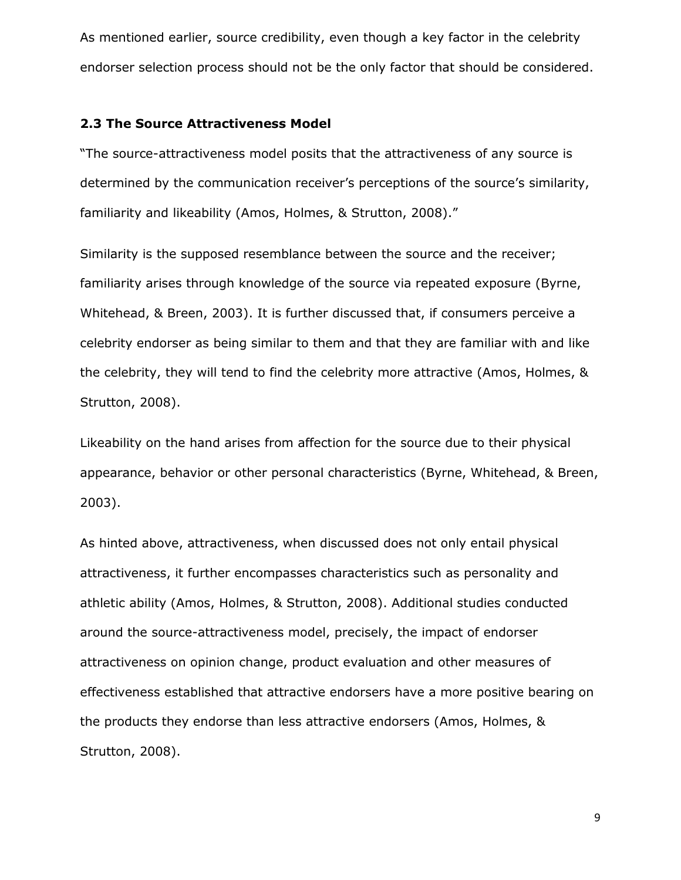As mentioned earlier, source credibility, even though a key factor in the celebrity endorser selection process should not be the only factor that should be considered.

#### <span id="page-13-0"></span>**2.3 The Source Attractiveness Model**

"The source-attractiveness model posits that the attractiveness of any source is determined by the communication receiver's perceptions of the source's similarity, familiarity and likeability (Amos, Holmes, & Strutton, 2008)."

Similarity is the supposed resemblance between the source and the receiver; familiarity arises through knowledge of the source via repeated exposure (Byrne, Whitehead, & Breen, 2003). It is further discussed that, if consumers perceive a celebrity endorser as being similar to them and that they are familiar with and like the celebrity, they will tend to find the celebrity more attractive (Amos, Holmes, & Strutton, 2008).

Likeability on the hand arises from affection for the source due to their physical appearance, behavior or other personal characteristics (Byrne, Whitehead, & Breen, 2003).

As hinted above, attractiveness, when discussed does not only entail physical attractiveness, it further encompasses characteristics such as personality and athletic ability (Amos, Holmes, & Strutton, 2008). Additional studies conducted around the source-attractiveness model, precisely, the impact of endorser attractiveness on opinion change, product evaluation and other measures of effectiveness established that attractive endorsers have a more positive bearing on the products they endorse than less attractive endorsers (Amos, Holmes, & Strutton, 2008).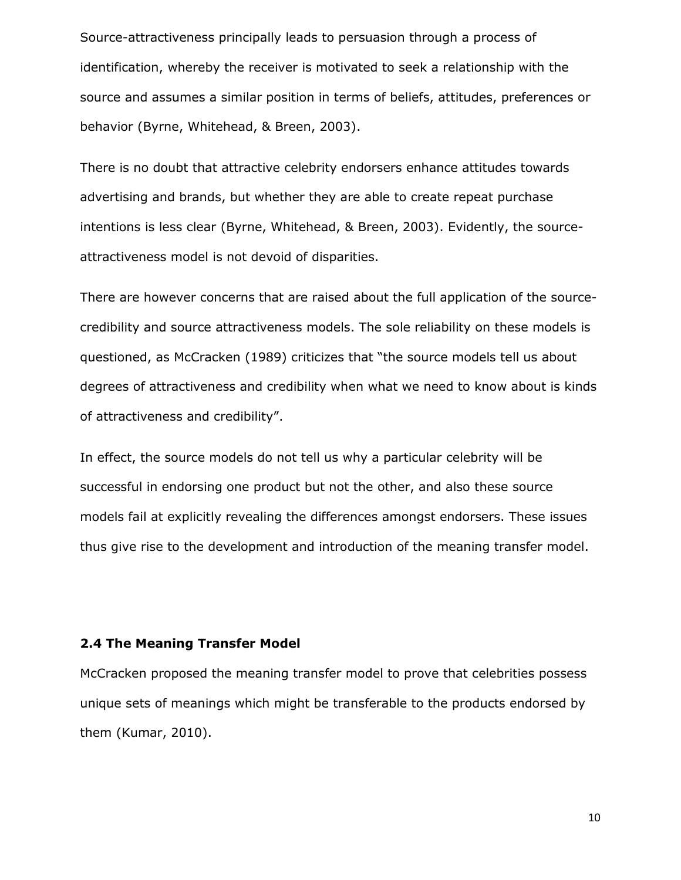Source-attractiveness principally leads to persuasion through a process of identification, whereby the receiver is motivated to seek a relationship with the source and assumes a similar position in terms of beliefs, attitudes, preferences or behavior (Byrne, Whitehead, & Breen, 2003).

There is no doubt that attractive celebrity endorsers enhance attitudes towards advertising and brands, but whether they are able to create repeat purchase intentions is less clear (Byrne, Whitehead, & Breen, 2003). Evidently, the sourceattractiveness model is not devoid of disparities.

There are however concerns that are raised about the full application of the sourcecredibility and source attractiveness models. The sole reliability on these models is questioned, as McCracken (1989) criticizes that "the source models tell us about degrees of attractiveness and credibility when what we need to know about is kinds of attractiveness and credibility".

In effect, the source models do not tell us why a particular celebrity will be successful in endorsing one product but not the other, and also these source models fail at explicitly revealing the differences amongst endorsers. These issues thus give rise to the development and introduction of the meaning transfer model.

## <span id="page-14-0"></span>**2.4 The Meaning Transfer Model**

McCracken proposed the meaning transfer model to prove that celebrities possess unique sets of meanings which might be transferable to the products endorsed by them (Kumar, 2010).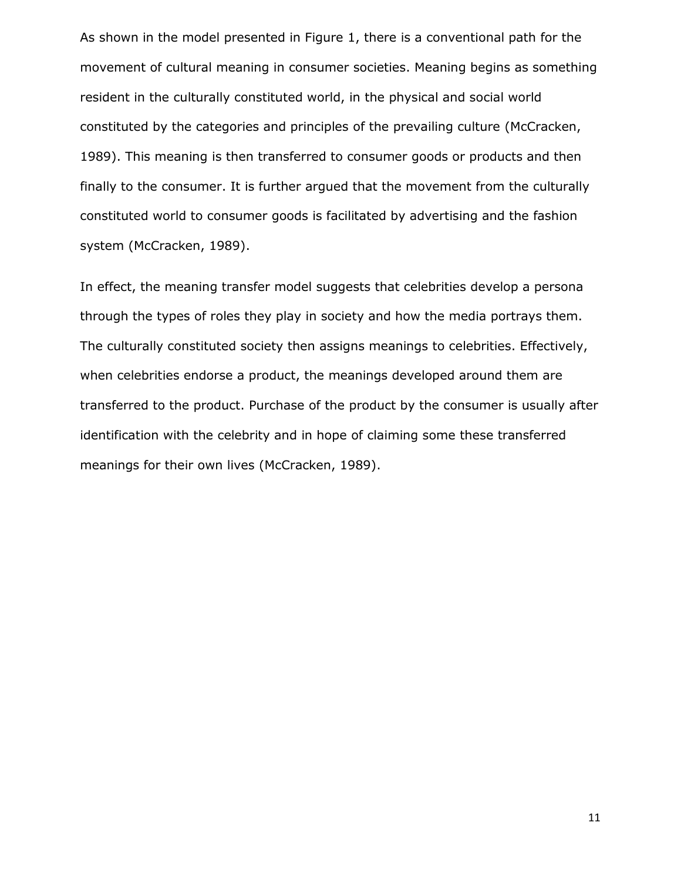As shown in the model presented in Figure 1, there is a conventional path for the movement of cultural meaning in consumer societies. Meaning begins as something resident in the culturally constituted world, in the physical and social world constituted by the categories and principles of the prevailing culture (McCracken, 1989). This meaning is then transferred to consumer goods or products and then finally to the consumer. It is further argued that the movement from the culturally constituted world to consumer goods is facilitated by advertising and the fashion system (McCracken, 1989).

In effect, the meaning transfer model suggests that celebrities develop a persona through the types of roles they play in society and how the media portrays them. The culturally constituted society then assigns meanings to celebrities. Effectively, when celebrities endorse a product, the meanings developed around them are transferred to the product. Purchase of the product by the consumer is usually after identification with the celebrity and in hope of claiming some these transferred meanings for their own lives (McCracken, 1989).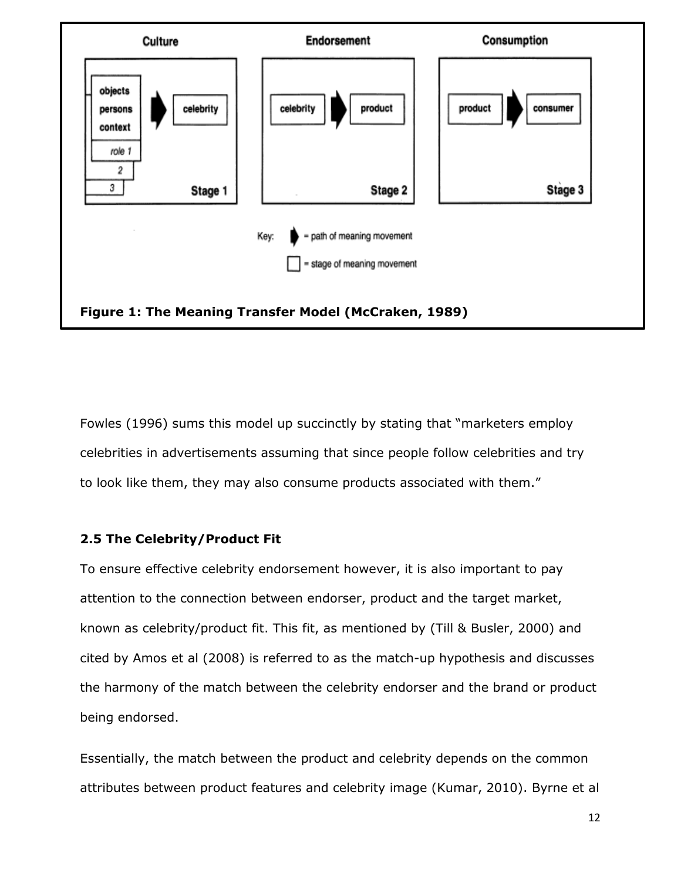

Fowles (1996) sums this model up succinctly by stating that "marketers employ celebrities in advertisements assuming that since people follow celebrities and try to look like them, they may also consume products associated with them."

## <span id="page-16-0"></span>**2.5 The Celebrity/Product Fit**

To ensure effective celebrity endorsement however, it is also important to pay attention to the connection between endorser, product and the target market, known as celebrity/product fit. This fit, as mentioned by (Till & Busler, 2000) and cited by Amos et al (2008) is referred to as the match-up hypothesis and discusses the harmony of the match between the celebrity endorser and the brand or product being endorsed.

Essentially, the match between the product and celebrity depends on the common attributes between product features and celebrity image (Kumar, 2010). Byrne et al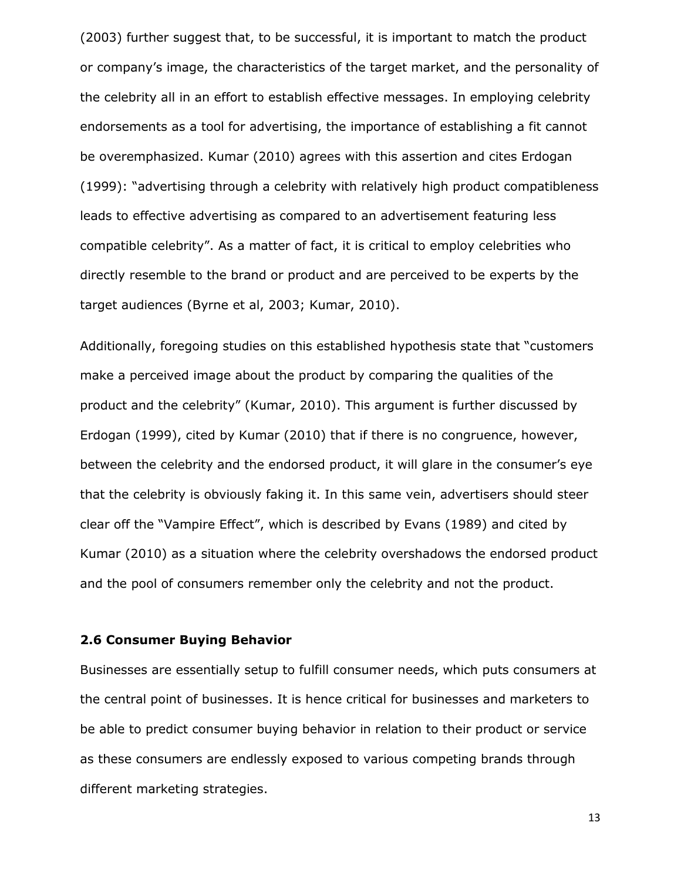(2003) further suggest that, to be successful, it is important to match the product or company's image, the characteristics of the target market, and the personality of the celebrity all in an effort to establish effective messages. In employing celebrity endorsements as a tool for advertising, the importance of establishing a fit cannot be overemphasized. Kumar (2010) agrees with this assertion and cites Erdogan (1999): "advertising through a celebrity with relatively high product compatibleness leads to effective advertising as compared to an advertisement featuring less compatible celebrity". As a matter of fact, it is critical to employ celebrities who directly resemble to the brand or product and are perceived to be experts by the target audiences (Byrne et al, 2003; Kumar, 2010).

Additionally, foregoing studies on this established hypothesis state that "customers make a perceived image about the product by comparing the qualities of the product and the celebrity" (Kumar, 2010). This argument is further discussed by Erdogan (1999), cited by Kumar (2010) that if there is no congruence, however, between the celebrity and the endorsed product, it will glare in the consumer's eye that the celebrity is obviously faking it. In this same vein, advertisers should steer clear off the "Vampire Effect", which is described by Evans (1989) and cited by Kumar (2010) as a situation where the celebrity overshadows the endorsed product and the pool of consumers remember only the celebrity and not the product.

#### <span id="page-17-0"></span>**2.6 Consumer Buying Behavior**

Businesses are essentially setup to fulfill consumer needs, which puts consumers at the central point of businesses. It is hence critical for businesses and marketers to be able to predict consumer buying behavior in relation to their product or service as these consumers are endlessly exposed to various competing brands through different marketing strategies.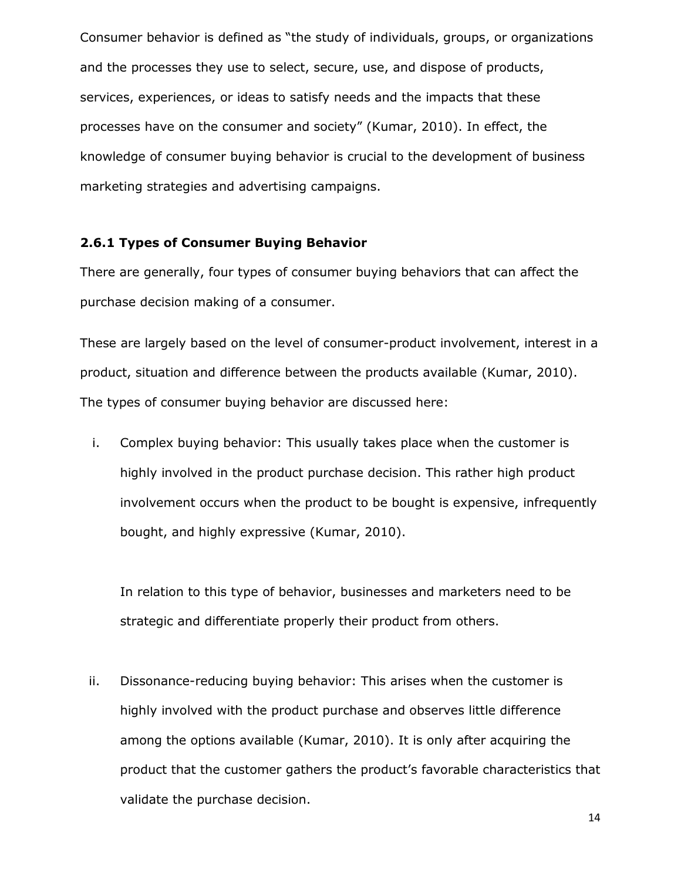Consumer behavior is defined as "the study of individuals, groups, or organizations and the processes they use to select, secure, use, and dispose of products, services, experiences, or ideas to satisfy needs and the impacts that these processes have on the consumer and society" (Kumar, 2010). In effect, the knowledge of consumer buying behavior is crucial to the development of business marketing strategies and advertising campaigns.

#### <span id="page-18-0"></span>**2.6.1 Types of Consumer Buying Behavior**

There are generally, four types of consumer buying behaviors that can affect the purchase decision making of a consumer.

These are largely based on the level of consumer-product involvement, interest in a product, situation and difference between the products available (Kumar, 2010). The types of consumer buying behavior are discussed here:

i. Complex buying behavior: This usually takes place when the customer is highly involved in the product purchase decision. This rather high product involvement occurs when the product to be bought is expensive, infrequently bought, and highly expressive (Kumar, 2010).

In relation to this type of behavior, businesses and marketers need to be strategic and differentiate properly their product from others.

ii. Dissonance-reducing buying behavior: This arises when the customer is highly involved with the product purchase and observes little difference among the options available (Kumar, 2010). It is only after acquiring the product that the customer gathers the product's favorable characteristics that validate the purchase decision.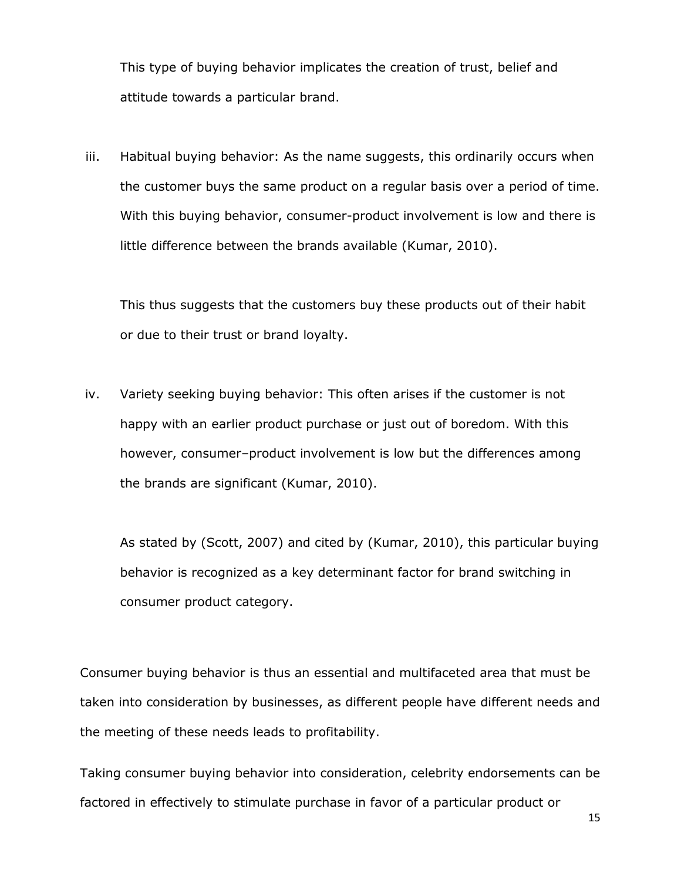This type of buying behavior implicates the creation of trust, belief and attitude towards a particular brand.

iii. Habitual buying behavior: As the name suggests, this ordinarily occurs when the customer buys the same product on a regular basis over a period of time. With this buying behavior, consumer-product involvement is low and there is little difference between the brands available (Kumar, 2010).

This thus suggests that the customers buy these products out of their habit or due to their trust or brand loyalty.

iv. Variety seeking buying behavior: This often arises if the customer is not happy with an earlier product purchase or just out of boredom. With this however, consumer–product involvement is low but the differences among the brands are significant (Kumar, 2010).

As stated by (Scott, 2007) and cited by (Kumar, 2010), this particular buying behavior is recognized as a key determinant factor for brand switching in consumer product category.

Consumer buying behavior is thus an essential and multifaceted area that must be taken into consideration by businesses, as different people have different needs and the meeting of these needs leads to profitability.

Taking consumer buying behavior into consideration, celebrity endorsements can be factored in effectively to stimulate purchase in favor of a particular product or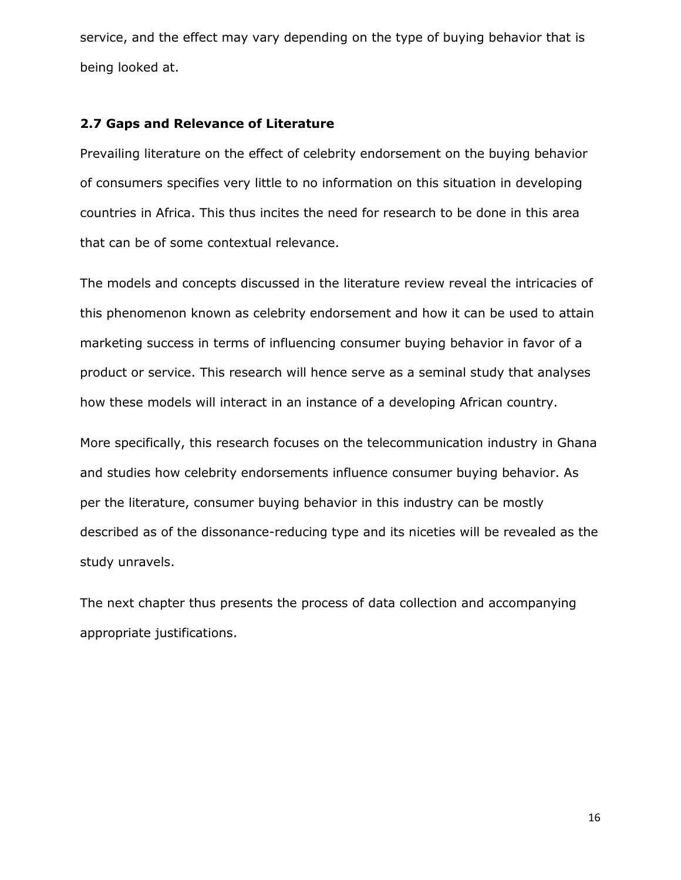service, and the effect may vary depending on the type of buying behavior that is being looked at.

#### <span id="page-20-0"></span>**2.7 Gaps and Relevance of Literature**

Prevailing literature on the effect of celebrity endorsement on the buying behavior of consumers specifies very little to no information on this situation in developing countries in Africa. This thus incites the need for research to be done in this area that can be of some contextual relevance.

The models and concepts discussed in the literature review reveal the intricacies of this phenomenon known as celebrity endorsement and how it can be used to attain marketing success in terms of influencing consumer buying behavior in favor of a product or service. This research will hence serve as a seminal study that analyses how these models will interact in an instance of a developing African country.

More specifically, this research focuses on the telecommunication industry in Ghana and studies how celebrity endorsements influence consumer buying behavior. As per the literature, consumer buying behavior in this industry can be mostly described as of the dissonance-reducing type and its niceties will be revealed as the study unravels.

The next chapter thus presents the process of data collection and accompanying appropriate justifications.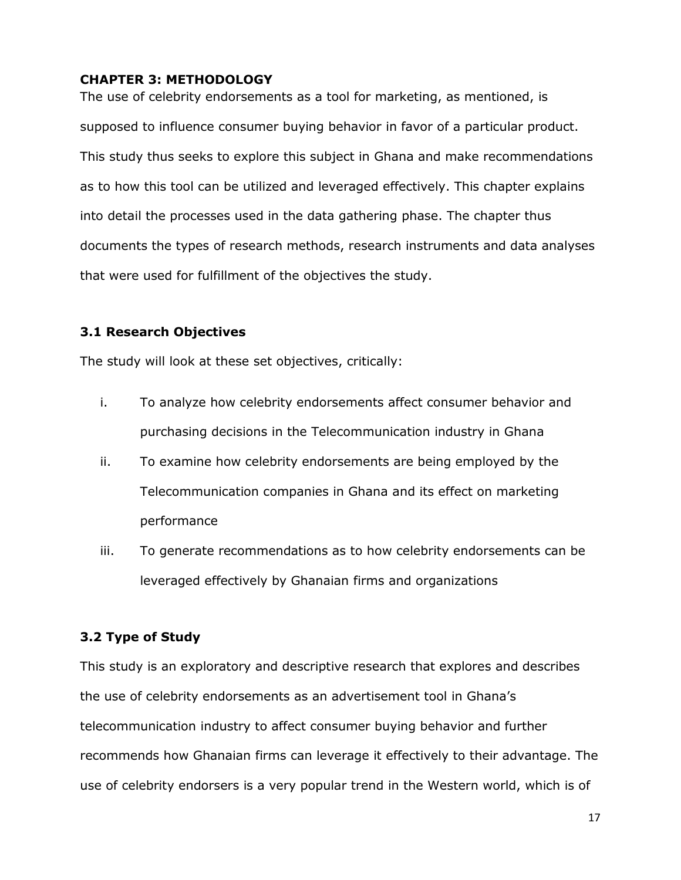## <span id="page-21-0"></span>**CHAPTER 3: METHODOLOGY**

The use of celebrity endorsements as a tool for marketing, as mentioned, is supposed to influence consumer buying behavior in favor of a particular product. This study thus seeks to explore this subject in Ghana and make recommendations as to how this tool can be utilized and leveraged effectively. This chapter explains into detail the processes used in the data gathering phase. The chapter thus documents the types of research methods, research instruments and data analyses that were used for fulfillment of the objectives the study.

## <span id="page-21-1"></span>**3.1 Research Objectives**

The study will look at these set objectives, critically:

- i. To analyze how celebrity endorsements affect consumer behavior and purchasing decisions in the Telecommunication industry in Ghana
- ii. To examine how celebrity endorsements are being employed by the Telecommunication companies in Ghana and its effect on marketing performance
- iii. To generate recommendations as to how celebrity endorsements can be leveraged effectively by Ghanaian firms and organizations

## <span id="page-21-2"></span>**3.2 Type of Study**

This study is an exploratory and descriptive research that explores and describes the use of celebrity endorsements as an advertisement tool in Ghana's telecommunication industry to affect consumer buying behavior and further recommends how Ghanaian firms can leverage it effectively to their advantage. The use of celebrity endorsers is a very popular trend in the Western world, which is of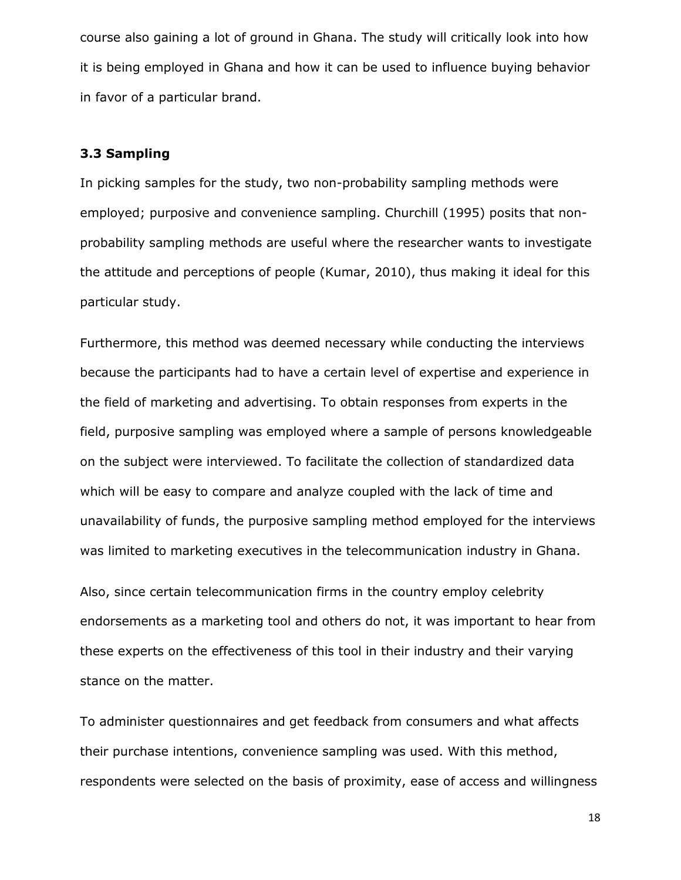course also gaining a lot of ground in Ghana. The study will critically look into how it is being employed in Ghana and how it can be used to influence buying behavior in favor of a particular brand.

## <span id="page-22-0"></span>**3.3 Sampling**

In picking samples for the study, two non-probability sampling methods were employed; purposive and convenience sampling. Churchill (1995) posits that nonprobability sampling methods are useful where the researcher wants to investigate the attitude and perceptions of people (Kumar, 2010), thus making it ideal for this particular study.

Furthermore, this method was deemed necessary while conducting the interviews because the participants had to have a certain level of expertise and experience in the field of marketing and advertising. To obtain responses from experts in the field, purposive sampling was employed where a sample of persons knowledgeable on the subject were interviewed. To facilitate the collection of standardized data which will be easy to compare and analyze coupled with the lack of time and unavailability of funds, the purposive sampling method employed for the interviews was limited to marketing executives in the telecommunication industry in Ghana.

Also, since certain telecommunication firms in the country employ celebrity endorsements as a marketing tool and others do not, it was important to hear from these experts on the effectiveness of this tool in their industry and their varying stance on the matter.

To administer questionnaires and get feedback from consumers and what affects their purchase intentions, convenience sampling was used. With this method, respondents were selected on the basis of proximity, ease of access and willingness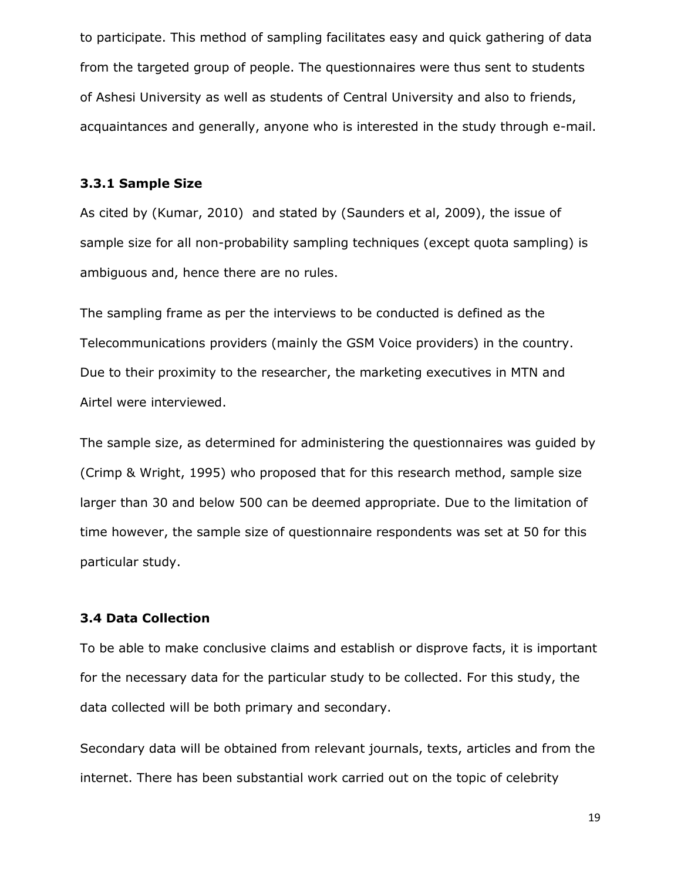to participate. This method of sampling facilitates easy and quick gathering of data from the targeted group of people. The questionnaires were thus sent to students of Ashesi University as well as students of Central University and also to friends, acquaintances and generally, anyone who is interested in the study through e-mail.

#### <span id="page-23-0"></span>**3.3.1 Sample Size**

As cited by (Kumar, 2010) and stated by (Saunders et al, 2009), the issue of sample size for all non-probability sampling techniques (except quota sampling) is ambiguous and, hence there are no rules.

The sampling frame as per the interviews to be conducted is defined as the Telecommunications providers (mainly the GSM Voice providers) in the country. Due to their proximity to the researcher, the marketing executives in MTN and Airtel were interviewed.

The sample size, as determined for administering the questionnaires was guided by (Crimp & Wright, 1995) who proposed that for this research method, sample size larger than 30 and below 500 can be deemed appropriate. Due to the limitation of time however, the sample size of questionnaire respondents was set at 50 for this particular study.

#### <span id="page-23-1"></span>**3.4 Data Collection**

To be able to make conclusive claims and establish or disprove facts, it is important for the necessary data for the particular study to be collected. For this study, the data collected will be both primary and secondary.

Secondary data will be obtained from relevant journals, texts, articles and from the internet. There has been substantial work carried out on the topic of celebrity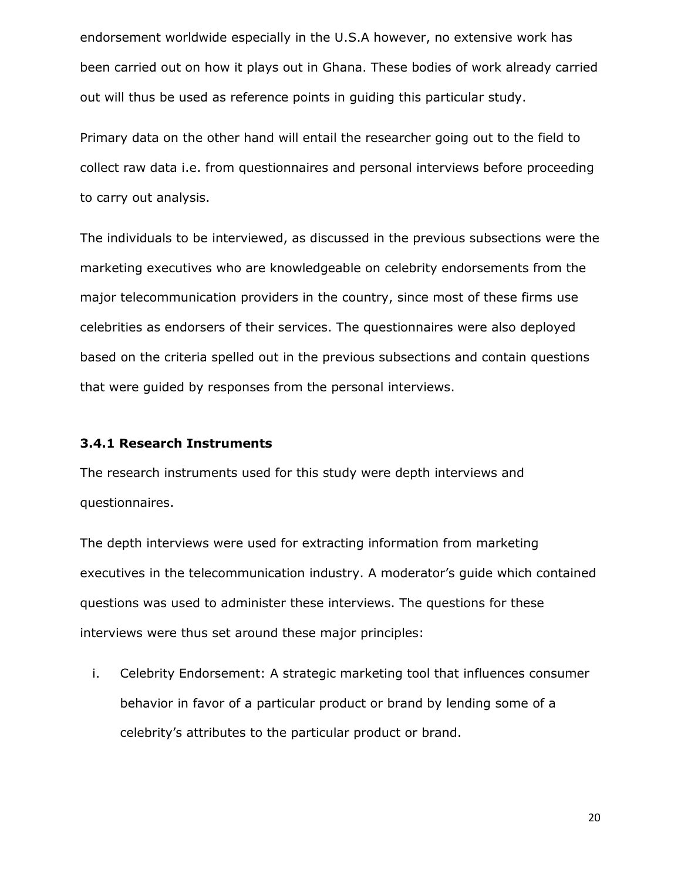endorsement worldwide especially in the U.S.A however, no extensive work has been carried out on how it plays out in Ghana. These bodies of work already carried out will thus be used as reference points in guiding this particular study.

Primary data on the other hand will entail the researcher going out to the field to collect raw data i.e. from questionnaires and personal interviews before proceeding to carry out analysis.

The individuals to be interviewed, as discussed in the previous subsections were the marketing executives who are knowledgeable on celebrity endorsements from the major telecommunication providers in the country, since most of these firms use celebrities as endorsers of their services. The questionnaires were also deployed based on the criteria spelled out in the previous subsections and contain questions that were guided by responses from the personal interviews.

#### <span id="page-24-0"></span>**3.4.1 Research Instruments**

The research instruments used for this study were depth interviews and questionnaires.

The depth interviews were used for extracting information from marketing executives in the telecommunication industry. A moderator's guide which contained questions was used to administer these interviews. The questions for these interviews were thus set around these major principles:

i. Celebrity Endorsement: A strategic marketing tool that influences consumer behavior in favor of a particular product or brand by lending some of a celebrity's attributes to the particular product or brand.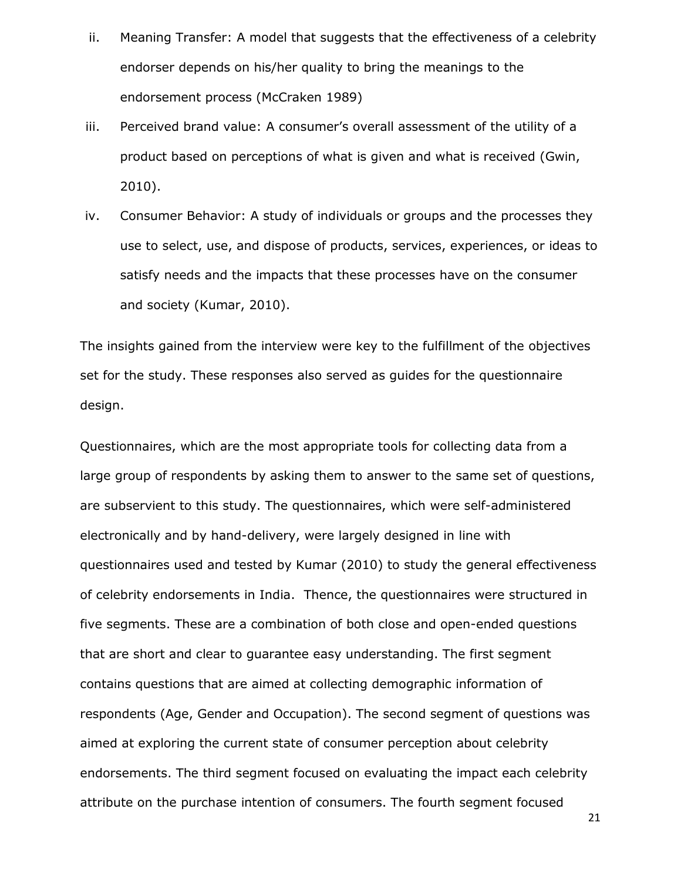- ii. Meaning Transfer: A model that suggests that the effectiveness of a celebrity endorser depends on his/her quality to bring the meanings to the endorsement process (McCraken 1989)
- iii. Perceived brand value: A consumer's overall assessment of the utility of a product based on perceptions of what is given and what is received (Gwin, 2010).
- iv. Consumer Behavior: A study of individuals or groups and the processes they use to select, use, and dispose of products, services, experiences, or ideas to satisfy needs and the impacts that these processes have on the consumer and society (Kumar, 2010).

The insights gained from the interview were key to the fulfillment of the objectives set for the study. These responses also served as guides for the questionnaire design.

Questionnaires, which are the most appropriate tools for collecting data from a large group of respondents by asking them to answer to the same set of questions, are subservient to this study. The questionnaires, which were self-administered electronically and by hand-delivery, were largely designed in line with questionnaires used and tested by Kumar (2010) to study the general effectiveness of celebrity endorsements in India. Thence, the questionnaires were structured in five segments. These are a combination of both close and open-ended questions that are short and clear to guarantee easy understanding. The first segment contains questions that are aimed at collecting demographic information of respondents (Age, Gender and Occupation). The second segment of questions was aimed at exploring the current state of consumer perception about celebrity endorsements. The third segment focused on evaluating the impact each celebrity attribute on the purchase intention of consumers. The fourth segment focused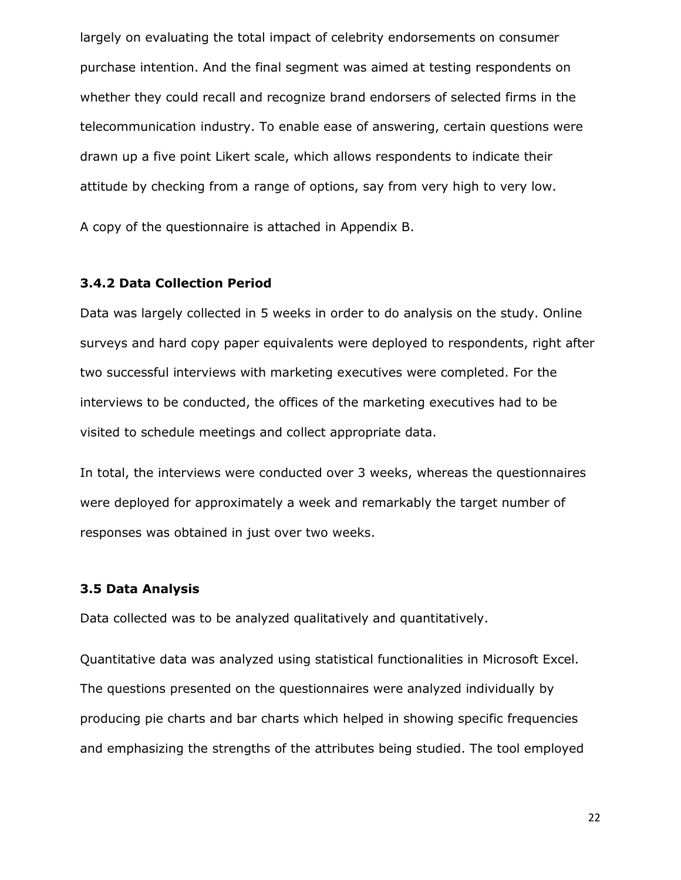largely on evaluating the total impact of celebrity endorsements on consumer purchase intention. And the final segment was aimed at testing respondents on whether they could recall and recognize brand endorsers of selected firms in the telecommunication industry. To enable ease of answering, certain questions were drawn up a five point Likert scale, which allows respondents to indicate their attitude by checking from a range of options, say from very high to very low.

A copy of the questionnaire is attached in Appendix B.

## <span id="page-26-0"></span>**3.4.2 Data Collection Period**

Data was largely collected in 5 weeks in order to do analysis on the study. Online surveys and hard copy paper equivalents were deployed to respondents, right after two successful interviews with marketing executives were completed. For the interviews to be conducted, the offices of the marketing executives had to be visited to schedule meetings and collect appropriate data.

In total, the interviews were conducted over 3 weeks, whereas the questionnaires were deployed for approximately a week and remarkably the target number of responses was obtained in just over two weeks.

#### <span id="page-26-1"></span>**3.5 Data Analysis**

Data collected was to be analyzed qualitatively and quantitatively.

Quantitative data was analyzed using statistical functionalities in Microsoft Excel. The questions presented on the questionnaires were analyzed individually by producing pie charts and bar charts which helped in showing specific frequencies and emphasizing the strengths of the attributes being studied. The tool employed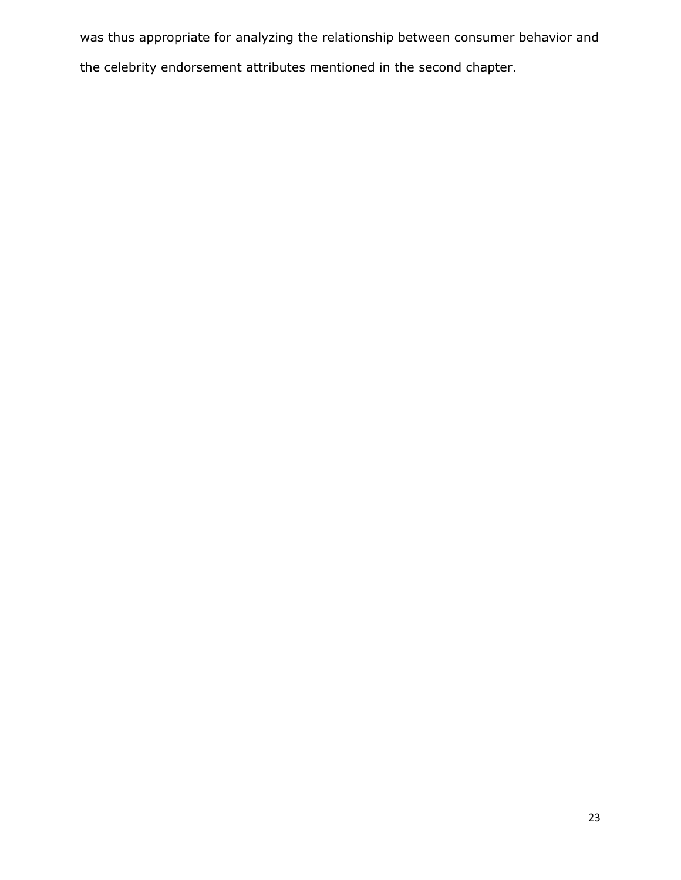was thus appropriate for analyzing the relationship between consumer behavior and the celebrity endorsement attributes mentioned in the second chapter.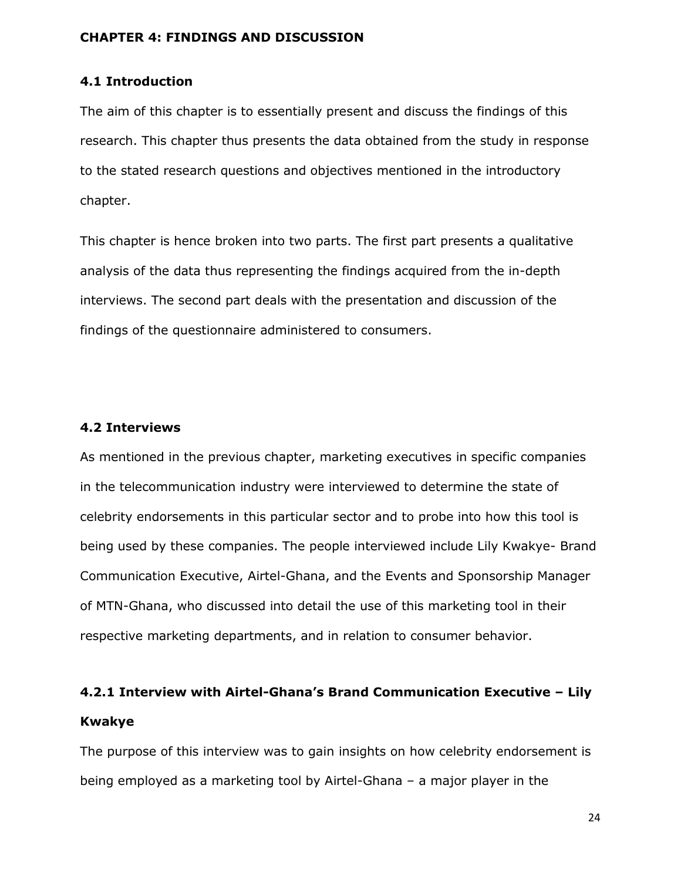#### <span id="page-28-1"></span><span id="page-28-0"></span>**CHAPTER 4: FINDINGS AND DISCUSSION**

## **4.1 Introduction**

The aim of this chapter is to essentially present and discuss the findings of this research. This chapter thus presents the data obtained from the study in response to the stated research questions and objectives mentioned in the introductory chapter.

This chapter is hence broken into two parts. The first part presents a qualitative analysis of the data thus representing the findings acquired from the in-depth interviews. The second part deals with the presentation and discussion of the findings of the questionnaire administered to consumers.

#### <span id="page-28-2"></span>**4.2 Interviews**

As mentioned in the previous chapter, marketing executives in specific companies in the telecommunication industry were interviewed to determine the state of celebrity endorsements in this particular sector and to probe into how this tool is being used by these companies. The people interviewed include Lily Kwakye- Brand Communication Executive, Airtel-Ghana, and the Events and Sponsorship Manager of MTN-Ghana, who discussed into detail the use of this marketing tool in their respective marketing departments, and in relation to consumer behavior.

# <span id="page-28-3"></span>**4.2.1 Interview with Airtel-Ghana's Brand Communication Executive – Lily Kwakye**

The purpose of this interview was to gain insights on how celebrity endorsement is being employed as a marketing tool by Airtel-Ghana – a major player in the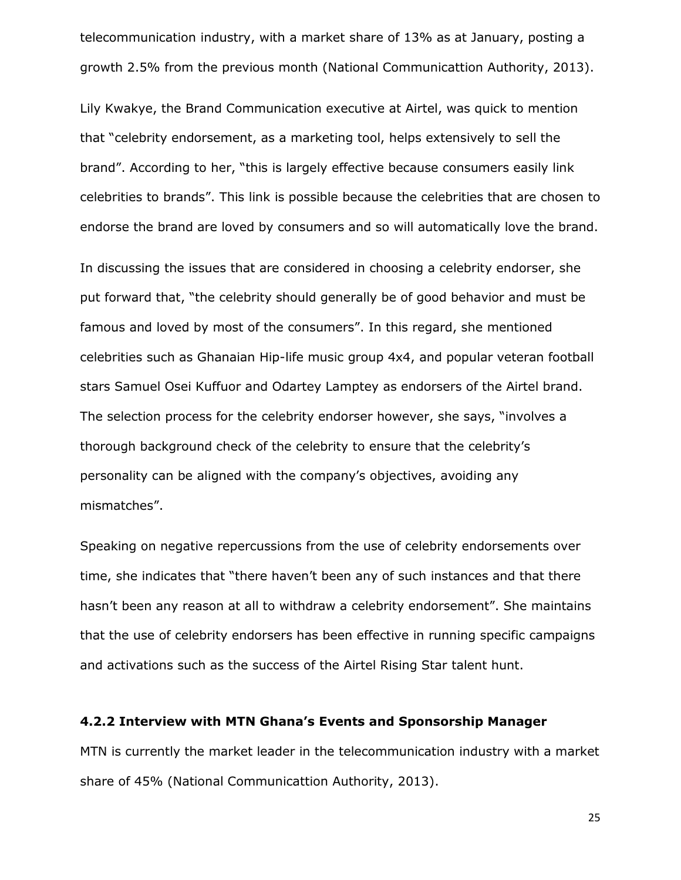telecommunication industry, with a market share of 13% as at January, posting a growth 2.5% from the previous month (National Communicattion Authority, 2013).

Lily Kwakye, the Brand Communication executive at Airtel, was quick to mention that "celebrity endorsement, as a marketing tool, helps extensively to sell the brand". According to her, "this is largely effective because consumers easily link celebrities to brands". This link is possible because the celebrities that are chosen to endorse the brand are loved by consumers and so will automatically love the brand.

In discussing the issues that are considered in choosing a celebrity endorser, she put forward that, "the celebrity should generally be of good behavior and must be famous and loved by most of the consumers". In this regard, she mentioned celebrities such as Ghanaian Hip-life music group 4x4, and popular veteran football stars Samuel Osei Kuffuor and Odartey Lamptey as endorsers of the Airtel brand. The selection process for the celebrity endorser however, she says, "involves a thorough background check of the celebrity to ensure that the celebrity's personality can be aligned with the company's objectives, avoiding any mismatches".

Speaking on negative repercussions from the use of celebrity endorsements over time, she indicates that "there haven't been any of such instances and that there hasn't been any reason at all to withdraw a celebrity endorsement". She maintains that the use of celebrity endorsers has been effective in running specific campaigns and activations such as the success of the Airtel Rising Star talent hunt.

#### <span id="page-29-0"></span>**4.2.2 Interview with MTN Ghana's Events and Sponsorship Manager**

MTN is currently the market leader in the telecommunication industry with a market share of 45% (National Communicattion Authority, 2013).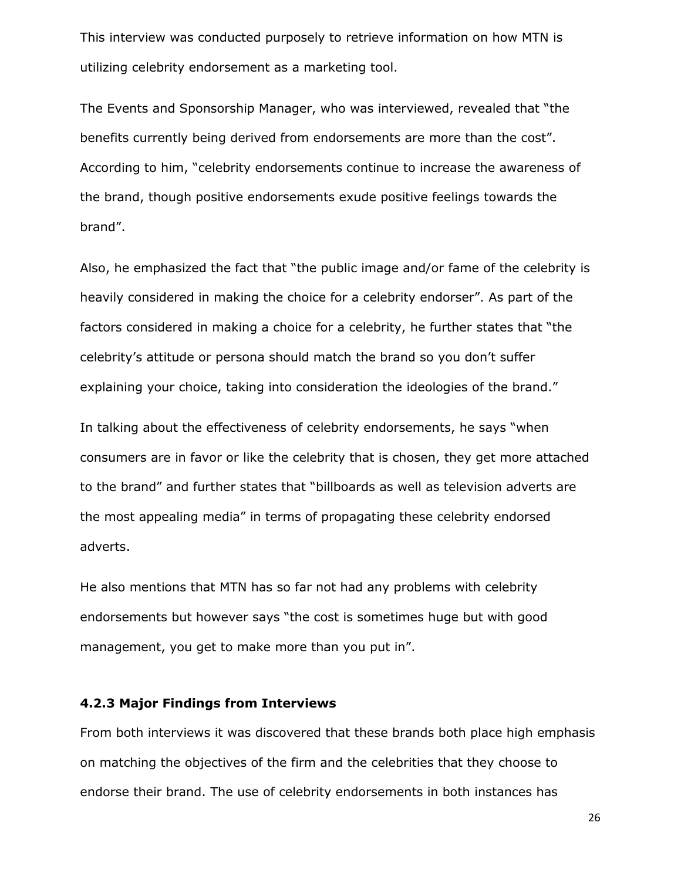This interview was conducted purposely to retrieve information on how MTN is utilizing celebrity endorsement as a marketing tool.

The Events and Sponsorship Manager, who was interviewed, revealed that "the benefits currently being derived from endorsements are more than the cost". According to him, "celebrity endorsements continue to increase the awareness of the brand, though positive endorsements exude positive feelings towards the brand".

Also, he emphasized the fact that "the public image and/or fame of the celebrity is heavily considered in making the choice for a celebrity endorser". As part of the factors considered in making a choice for a celebrity, he further states that "the celebrity's attitude or persona should match the brand so you don't suffer explaining your choice, taking into consideration the ideologies of the brand."

In talking about the effectiveness of celebrity endorsements, he says "when consumers are in favor or like the celebrity that is chosen, they get more attached to the brand" and further states that "billboards as well as television adverts are the most appealing media" in terms of propagating these celebrity endorsed adverts.

He also mentions that MTN has so far not had any problems with celebrity endorsements but however says "the cost is sometimes huge but with good management, you get to make more than you put in".

#### <span id="page-30-0"></span>**4.2.3 Major Findings from Interviews**

From both interviews it was discovered that these brands both place high emphasis on matching the objectives of the firm and the celebrities that they choose to endorse their brand. The use of celebrity endorsements in both instances has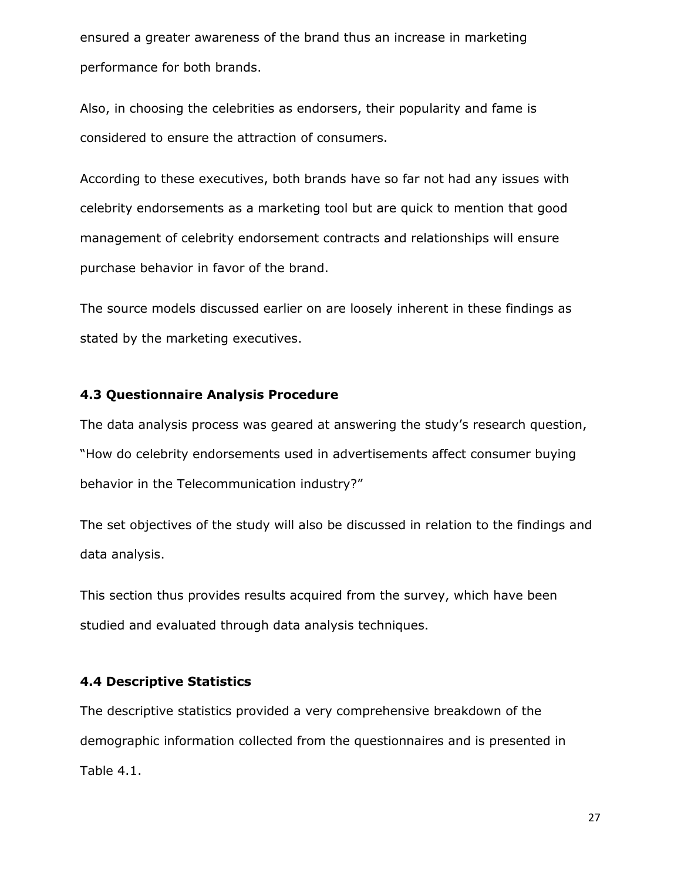ensured a greater awareness of the brand thus an increase in marketing performance for both brands.

Also, in choosing the celebrities as endorsers, their popularity and fame is considered to ensure the attraction of consumers.

According to these executives, both brands have so far not had any issues with celebrity endorsements as a marketing tool but are quick to mention that good management of celebrity endorsement contracts and relationships will ensure purchase behavior in favor of the brand.

The source models discussed earlier on are loosely inherent in these findings as stated by the marketing executives.

#### <span id="page-31-0"></span>**4.3 Questionnaire Analysis Procedure**

The data analysis process was geared at answering the study's research question, "How do celebrity endorsements used in advertisements affect consumer buying behavior in the Telecommunication industry?"

The set objectives of the study will also be discussed in relation to the findings and data analysis.

This section thus provides results acquired from the survey, which have been studied and evaluated through data analysis techniques.

#### <span id="page-31-1"></span>**4.4 Descriptive Statistics**

The descriptive statistics provided a very comprehensive breakdown of the demographic information collected from the questionnaires and is presented in Table 4.1.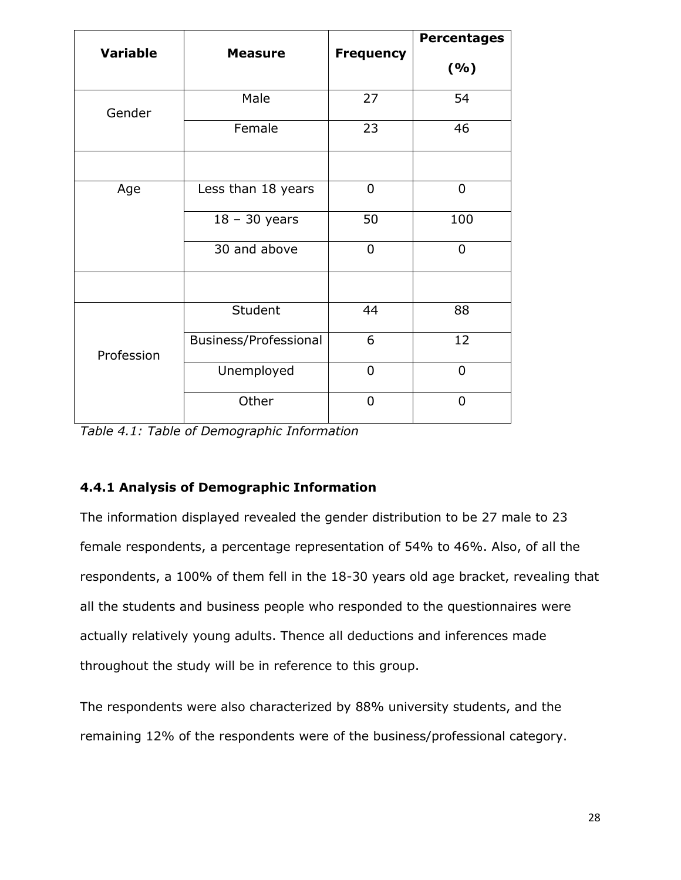|              | <b>Variable</b><br><b>Frequency</b><br><b>Measure</b> |                | <b>Percentages</b> |
|--------------|-------------------------------------------------------|----------------|--------------------|
|              |                                                       |                | (%)                |
| Gender       | Male                                                  | 27             | 54                 |
|              | Female                                                | 23             | 46                 |
|              |                                                       |                |                    |
| Age          | Less than 18 years                                    | 0              | 0                  |
|              | $18 - 30$ years                                       | 50             | 100                |
| 30 and above |                                                       | $\overline{0}$ | $\overline{0}$     |
|              |                                                       |                |                    |
|              | Student                                               | 44             | 88                 |
| Profession   | <b>Business/Professional</b>                          | 6              | 12                 |
|              | Unemployed                                            | $\overline{0}$ | $\overline{0}$     |
|              | Other                                                 | $\overline{0}$ | $\overline{0}$     |

*Table 4.1: Table of Demographic Information*

## <span id="page-32-0"></span>**4.4.1 Analysis of Demographic Information**

The information displayed revealed the gender distribution to be 27 male to 23 female respondents, a percentage representation of 54% to 46%. Also, of all the respondents, a 100% of them fell in the 18-30 years old age bracket, revealing that all the students and business people who responded to the questionnaires were actually relatively young adults. Thence all deductions and inferences made throughout the study will be in reference to this group.

The respondents were also characterized by 88% university students, and the remaining 12% of the respondents were of the business/professional category.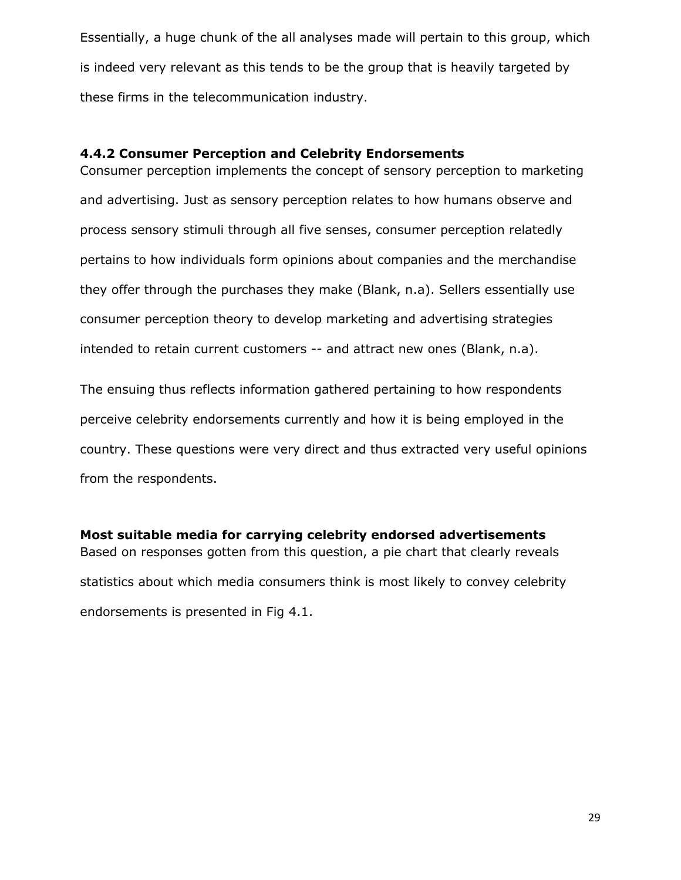Essentially, a huge chunk of the all analyses made will pertain to this group, which is indeed very relevant as this tends to be the group that is heavily targeted by these firms in the telecommunication industry.

## <span id="page-33-0"></span>**4.4.2 Consumer Perception and Celebrity Endorsements**

Consumer perception implements the concept of sensory perception to marketing and advertising. Just as sensory perception relates to how humans observe and process sensory stimuli through all five senses, consumer perception relatedly pertains to how individuals form opinions about companies and the merchandise they offer through the purchases they make (Blank, n.a). Sellers essentially use consumer perception theory to develop marketing and advertising strategies intended to retain current customers -- and attract new ones (Blank, n.a).

The ensuing thus reflects information gathered pertaining to how respondents perceive celebrity endorsements currently and how it is being employed in the country. These questions were very direct and thus extracted very useful opinions from the respondents.

<span id="page-33-1"></span>**Most suitable media for carrying celebrity endorsed advertisements** Based on responses gotten from this question, a pie chart that clearly reveals statistics about which media consumers think is most likely to convey celebrity endorsements is presented in Fig 4.1.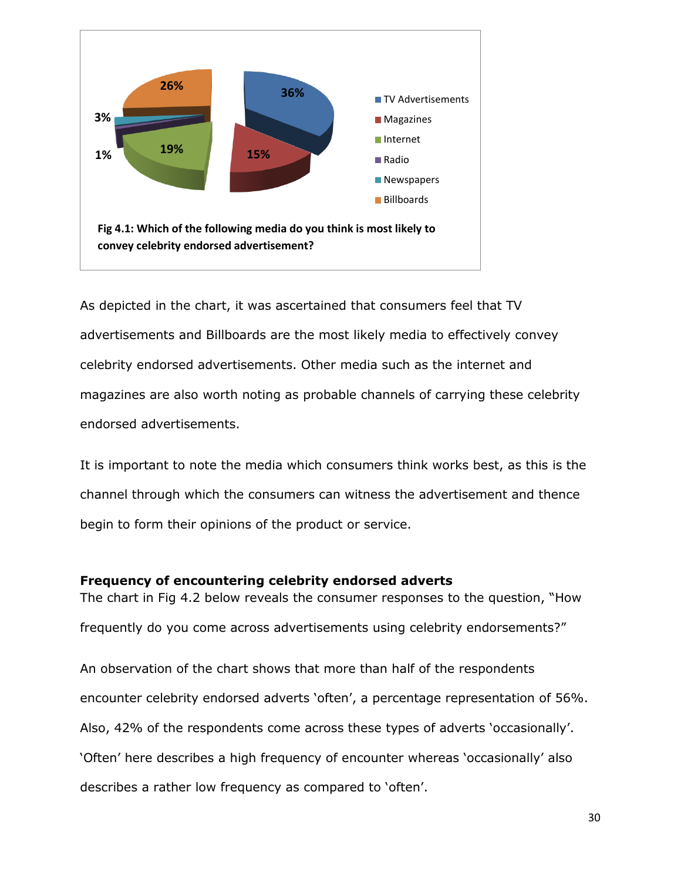

As depicted in the chart, it was ascertained that consumers feel that TV advertisements and Billboards are the most likely media to effectively convey celebrity endorsed advertisements. Other media such as the internet and magazines are also worth noting as probable channels of carrying these celebrity endorsed advertisements.

It is important to note the media which consumers think works best, as this is the channel through which the consumers can witness the advertisement and thence begin to form their opinions of the product or service.

## <span id="page-34-0"></span>**Frequency of encountering celebrity endorsed adverts**

The chart in Fig 4.2 below reveals the consumer responses to the question, "How frequently do you come across advertisements using celebrity endorsements?"

An observation of the chart shows that more than half of the respondents encounter celebrity endorsed adverts 'often', a percentage representation of 56%. Also, 42% of the respondents come across these types of adverts 'occasionally'. 'Often' here describes a high frequency of encounter whereas 'occasionally' also describes a rather low frequency as compared to 'often'.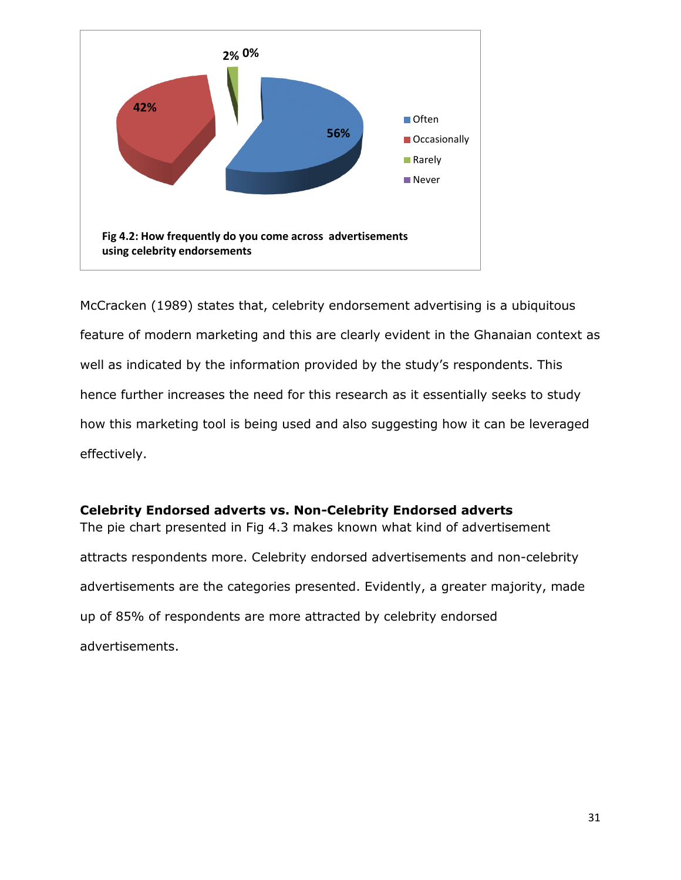

McCracken (1989) states that, celebrity endorsement advertising is a ubiquitous feature of modern marketing and this are clearly evident in the Ghanaian context as well as indicated by the information provided by the study's respondents. This hence further increases the need for this research as it essentially seeks to study how this marketing tool is being used and also suggesting how it can be leveraged effectively.

## <span id="page-35-0"></span>**Celebrity Endorsed adverts vs. Non-Celebrity Endorsed adverts**

The pie chart presented in Fig 4.3 makes known what kind of advertisement attracts respondents more. Celebrity endorsed advertisements and non-celebrity advertisements are the categories presented. Evidently, a greater majority, made up of 85% of respondents are more attracted by celebrity endorsed advertisements.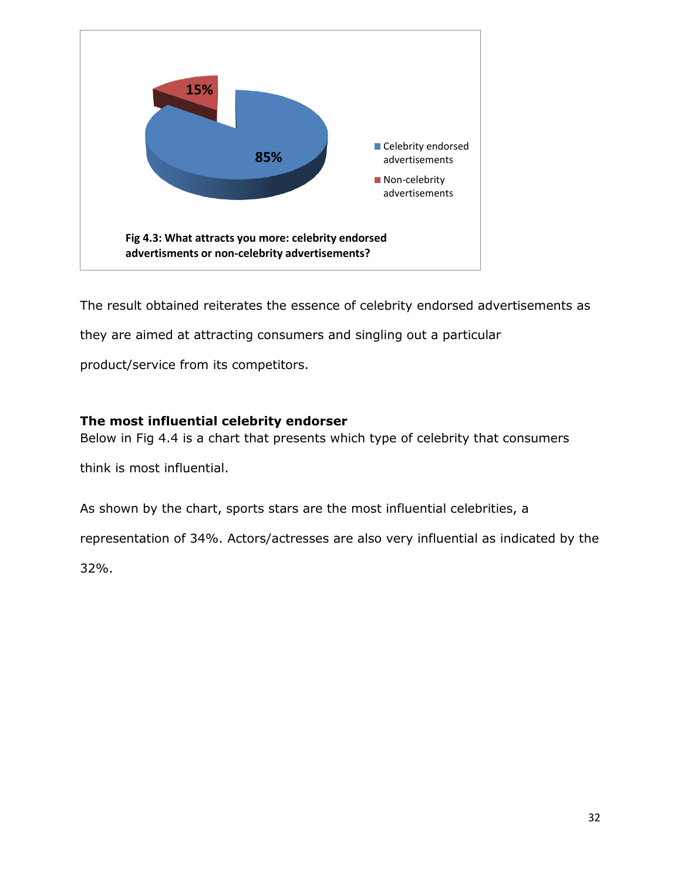

The result obtained reiterates the essence of celebrity endorsed advertisements as

they are aimed at attracting consumers and singling out a particular

product/service from its competitors.

## <span id="page-36-0"></span>**The most influential celebrity endorser**

Below in Fig 4.4 is a chart that presents which type of celebrity that consumers

think is most influential.

As shown by the chart, sports stars are the most influential celebrities, a

representation of 34%. Actors/actresses are also very influential as indicated by the

32%.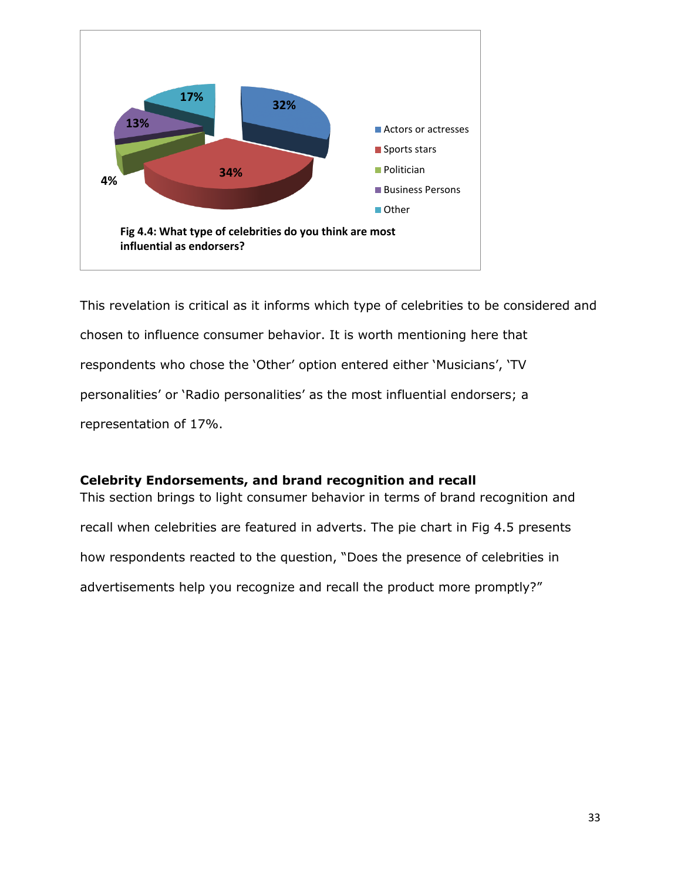

This revelation is critical as it informs which type of celebrities to be considered and chosen to influence consumer behavior. It is worth mentioning here that respondents who chose the 'Other' option entered either 'Musicians', 'TV personalities' or 'Radio personalities' as the most influential endorsers; a representation of 17%.

## <span id="page-37-0"></span>**Celebrity Endorsements, and brand recognition and recall**

This section brings to light consumer behavior in terms of brand recognition and recall when celebrities are featured in adverts. The pie chart in Fig 4.5 presents how respondents reacted to the question, "Does the presence of celebrities in advertisements help you recognize and recall the product more promptly?"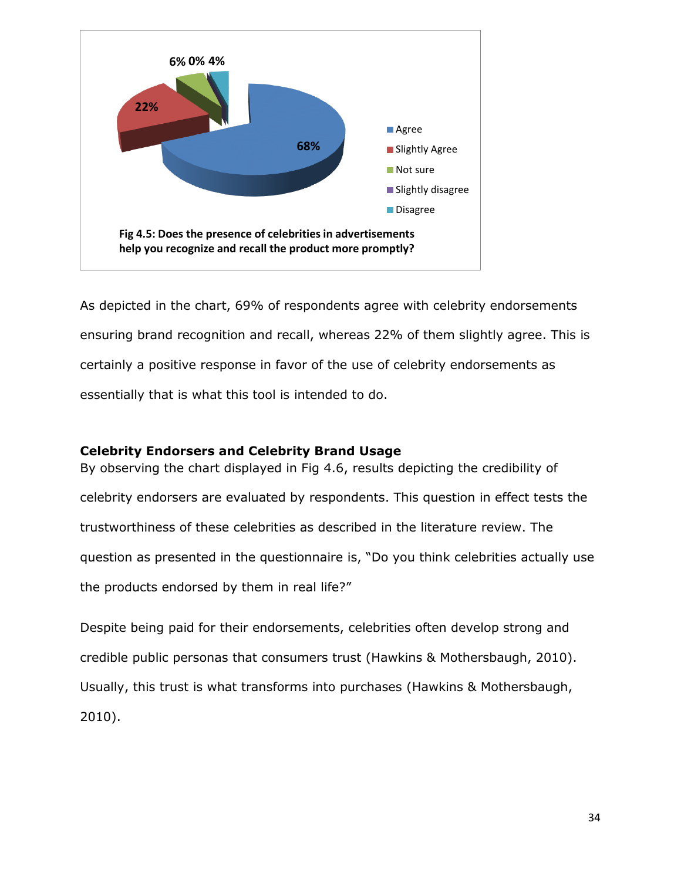

As depicted in the chart, 69% of respondents agree with celebrity endorsements ensuring brand recognition and recall, whereas 22% of them slightly agree. This is certainly a positive response in favor of the use of celebrity endorsements as essentially that is what this tool is intended to do.

## <span id="page-38-0"></span>**Celebrity Endorsers and Celebrity Brand Usage**

By observing the chart displayed in Fig 4.6, results depicting the credibility of celebrity endorsers are evaluated by respondents. This question in effect tests the trustworthiness of these celebrities as described in the literature review. The question as presented in the questionnaire is, "Do you think celebrities actually use the products endorsed by them in real life?"

Despite being paid for their endorsements, celebrities often develop strong and credible public personas that consumers trust (Hawkins & Mothersbaugh, 2010). Usually, this trust is what transforms into purchases (Hawkins & Mothersbaugh, 2010).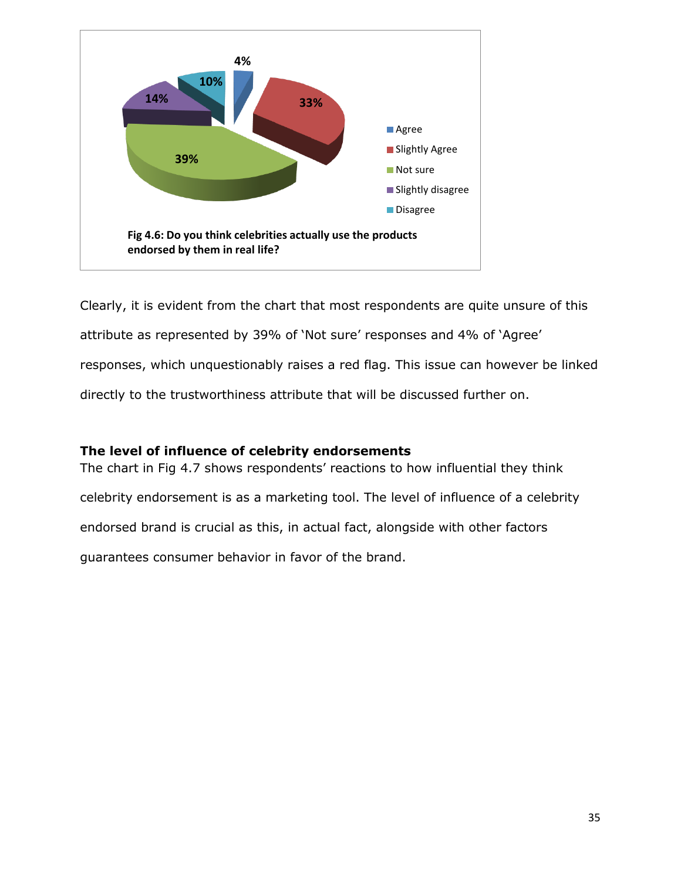

Clearly, it is evident from the chart that most respondents are quite unsure of this attribute as represented by 39% of 'Not sure' responses and 4% of 'Agree' responses, which unquestionably raises a red flag. This issue can however be linked directly to the trustworthiness attribute that will be discussed further on.

## <span id="page-39-0"></span>**The level of influence of celebrity endorsements**

The chart in Fig 4.7 shows respondents' reactions to how influential they think celebrity endorsement is as a marketing tool. The level of influence of a celebrity endorsed brand is crucial as this, in actual fact, alongside with other factors guarantees consumer behavior in favor of the brand.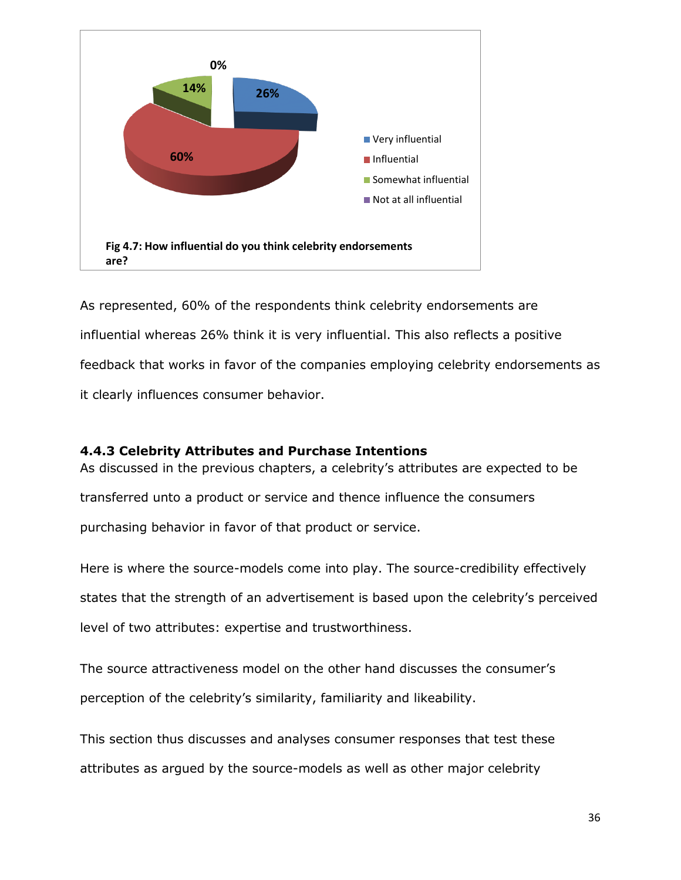

As represented, 60% of the respondents think celebrity endorsements are influential whereas 26% think it is very influential. This also reflects a positive feedback that works in favor of the companies employing celebrity endorsements as it clearly influences consumer behavior.

## <span id="page-40-0"></span>**4.4.3 Celebrity Attributes and Purchase Intentions**

As discussed in the previous chapters, a celebrity's attributes are expected to be transferred unto a product or service and thence influence the consumers purchasing behavior in favor of that product or service.

Here is where the source-models come into play. The source-credibility effectively states that the strength of an advertisement is based upon the celebrity's perceived level of two attributes: expertise and trustworthiness.

The source attractiveness model on the other hand discusses the consumer's perception of the celebrity's similarity, familiarity and likeability.

This section thus discusses and analyses consumer responses that test these attributes as argued by the source-models as well as other major celebrity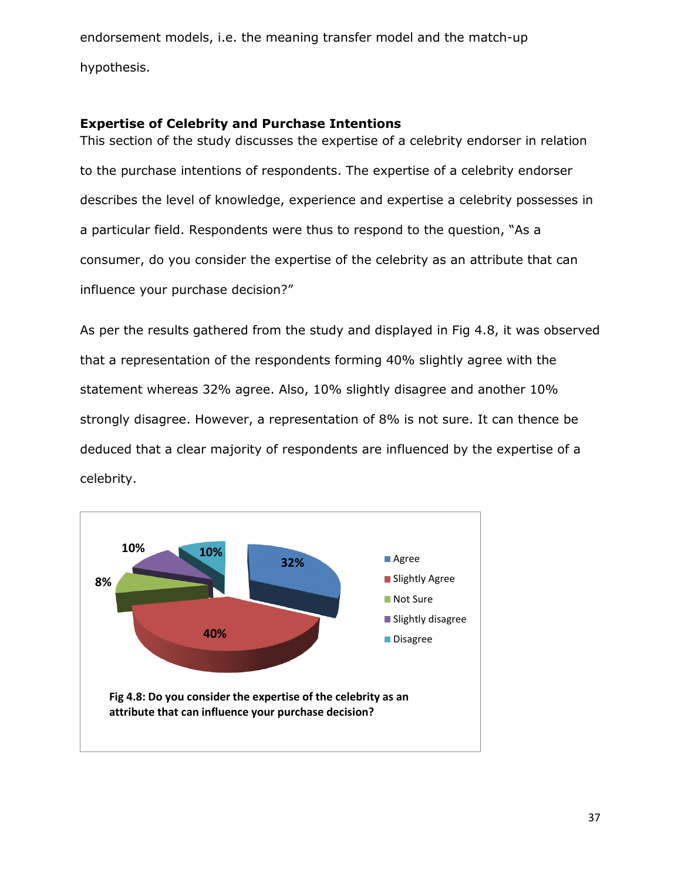endorsement models, i.e. the meaning transfer model and the match-up hypothesis.

## <span id="page-41-0"></span>**Expertise of Celebrity and Purchase Intentions**

This section of the study discusses the expertise of a celebrity endorser in relation to the purchase intentions of respondents. The expertise of a celebrity endorser describes the level of knowledge, experience and expertise a celebrity possesses in a particular field. Respondents were thus to respond to the question, "As a consumer, do you consider the expertise of the celebrity as an attribute that can influence your purchase decision?"

As per the results gathered from the study and displayed in Fig 4.8, it was observed that a representation of the respondents forming 40% slightly agree with the statement whereas 32% agree. Also, 10% slightly disagree and another 10% strongly disagree. However, a representation of 8% is not sure. It can thence be deduced that a clear majority of respondents are influenced by the expertise of a celebrity.

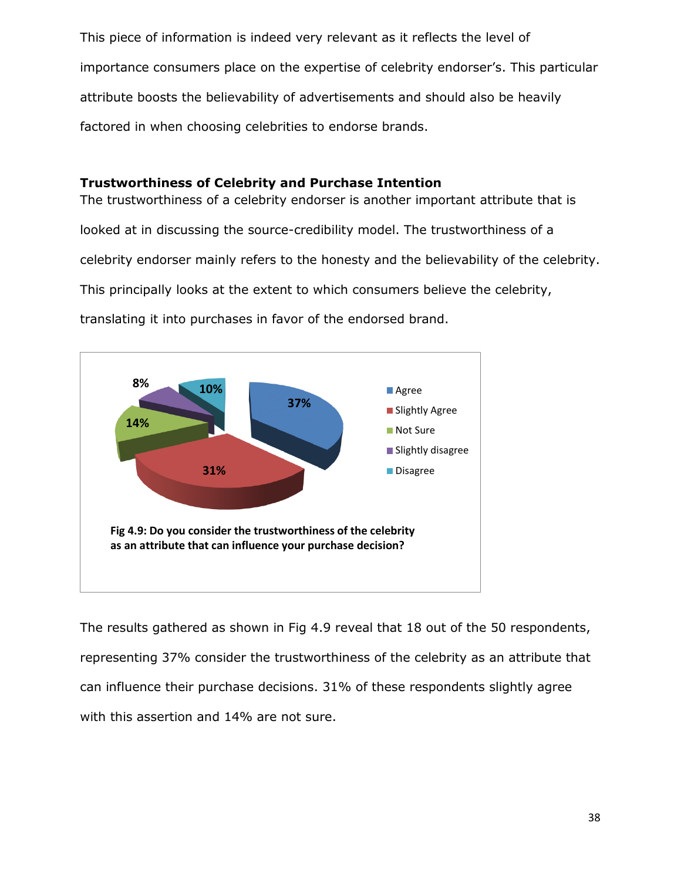This piece of information is indeed very relevant as it reflects the level of importance consumers place on the expertise of celebrity endorser's. This particular attribute boosts the believability of advertisements and should also be heavily factored in when choosing celebrities to endorse brands.

## <span id="page-42-0"></span>**Trustworthiness of Celebrity and Purchase Intention**

The trustworthiness of a celebrity endorser is another important attribute that is looked at in discussing the source-credibility model. The trustworthiness of a celebrity endorser mainly refers to the honesty and the believability of the celebrity. This principally looks at the extent to which consumers believe the celebrity, translating it into purchases in favor of the endorsed brand.



The results gathered as shown in Fig 4.9 reveal that 18 out of the 50 respondents, representing 37% consider the trustworthiness of the celebrity as an attribute that can influence their purchase decisions. 31% of these respondents slightly agree with this assertion and 14% are not sure.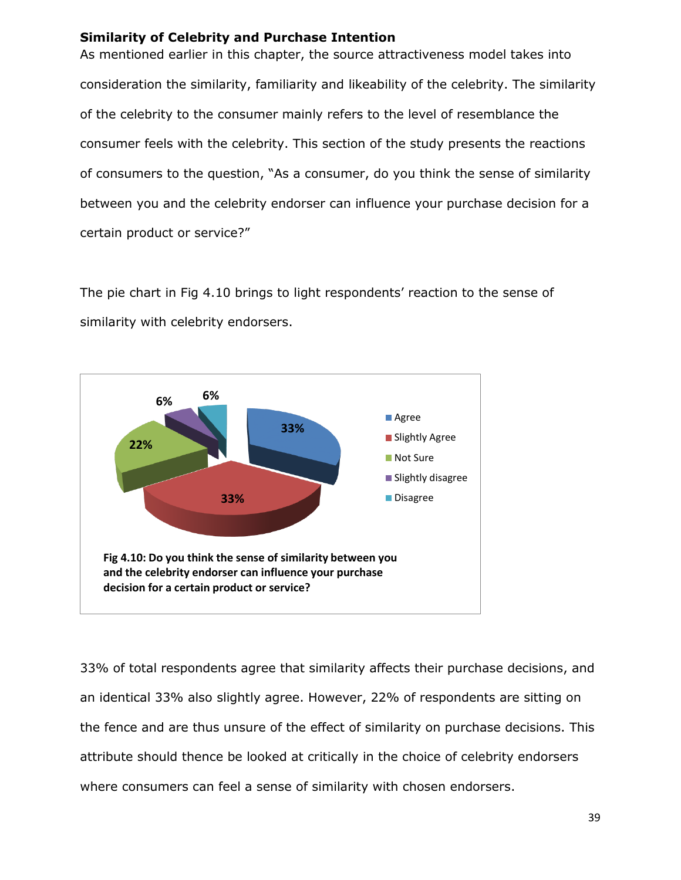## <span id="page-43-0"></span>**Similarity of Celebrity and Purchase Intention**

As mentioned earlier in this chapter, the source attractiveness model takes into consideration the similarity, familiarity and likeability of the celebrity. The similarity of the celebrity to the consumer mainly refers to the level of resemblance the consumer feels with the celebrity. This section of the study presents the reactions of consumers to the question, "As a consumer, do you think the sense of similarity between you and the celebrity endorser can influence your purchase decision for a certain product or service?"

The pie chart in Fig 4.10 brings to light respondents' reaction to the sense of similarity with celebrity endorsers.



33% of total respondents agree that similarity affects their purchase decisions, and an identical 33% also slightly agree. However, 22% of respondents are sitting on the fence and are thus unsure of the effect of similarity on purchase decisions. This attribute should thence be looked at critically in the choice of celebrity endorsers where consumers can feel a sense of similarity with chosen endorsers.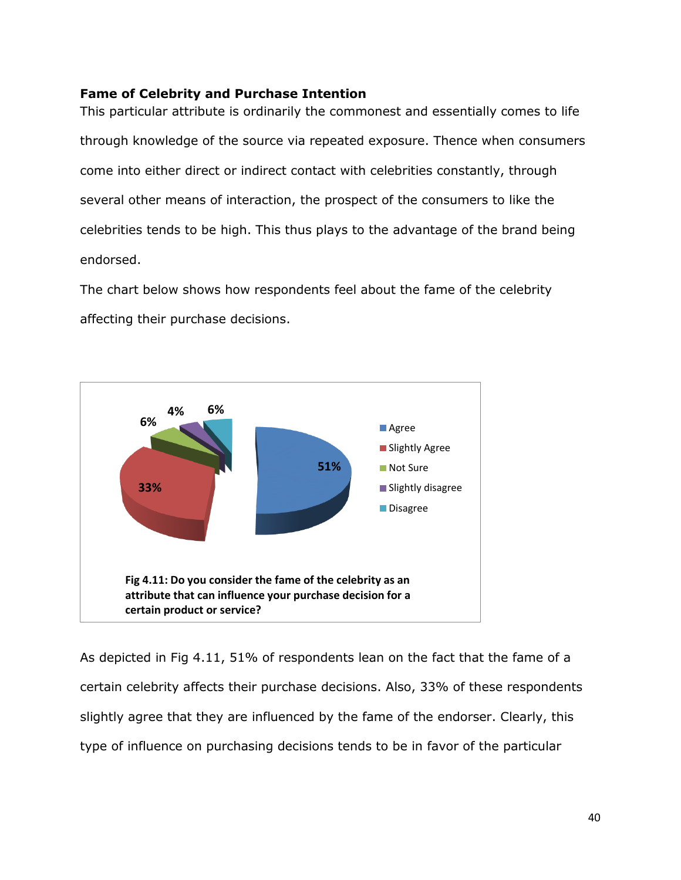## <span id="page-44-0"></span>**Fame of Celebrity and Purchase Intention**

This particular attribute is ordinarily the commonest and essentially comes to life through knowledge of the source via repeated exposure. Thence when consumers come into either direct or indirect contact with celebrities constantly, through several other means of interaction, the prospect of the consumers to like the celebrities tends to be high. This thus plays to the advantage of the brand being endorsed.

The chart below shows how respondents feel about the fame of the celebrity affecting their purchase decisions.



As depicted in Fig 4.11, 51% of respondents lean on the fact that the fame of a certain celebrity affects their purchase decisions. Also, 33% of these respondents slightly agree that they are influenced by the fame of the endorser. Clearly, this type of influence on purchasing decisions tends to be in favor of the particular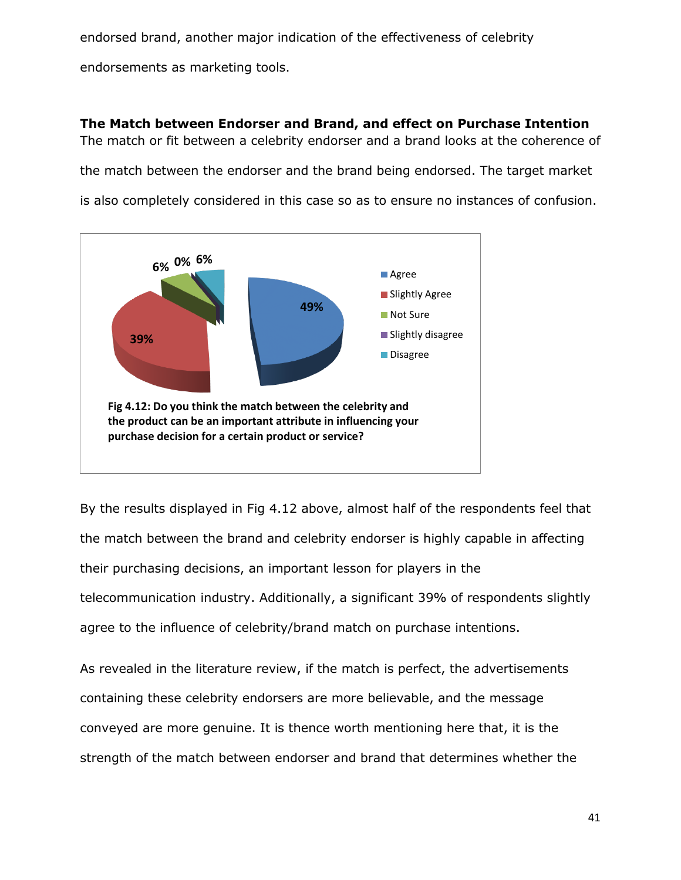endorsed brand, another major indication of the effectiveness of celebrity endorsements as marketing tools.

<span id="page-45-0"></span>**The Match between Endorser and Brand, and effect on Purchase Intention** The match or fit between a celebrity endorser and a brand looks at the coherence of the match between the endorser and the brand being endorsed. The target market is also completely considered in this case so as to ensure no instances of confusion.



By the results displayed in Fig 4.12 above, almost half of the respondents feel that the match between the brand and celebrity endorser is highly capable in affecting their purchasing decisions, an important lesson for players in the telecommunication industry. Additionally, a significant 39% of respondents slightly agree to the influence of celebrity/brand match on purchase intentions.

As revealed in the literature review, if the match is perfect, the advertisements containing these celebrity endorsers are more believable, and the message conveyed are more genuine. It is thence worth mentioning here that, it is the strength of the match between endorser and brand that determines whether the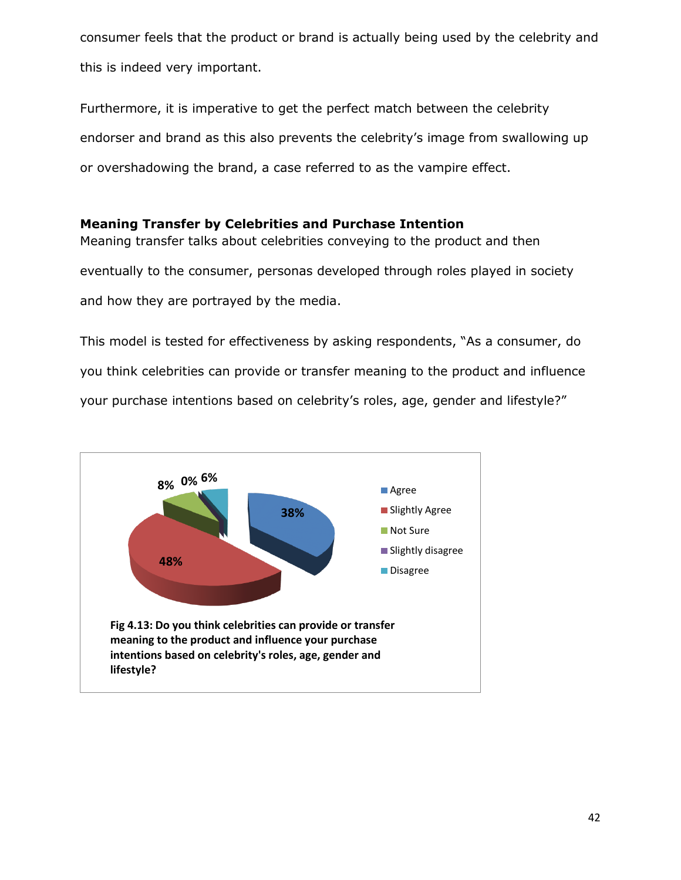consumer feels that the product or brand is actually being used by the celebrity and this is indeed very important.

Furthermore, it is imperative to get the perfect match between the celebrity endorser and brand as this also prevents the celebrity's image from swallowing up or overshadowing the brand, a case referred to as the vampire effect.

## <span id="page-46-0"></span>**Meaning Transfer by Celebrities and Purchase Intention**

Meaning transfer talks about celebrities conveying to the product and then eventually to the consumer, personas developed through roles played in society and how they are portrayed by the media.

This model is tested for effectiveness by asking respondents, "As a consumer, do you think celebrities can provide or transfer meaning to the product and influence your purchase intentions based on celebrity's roles, age, gender and lifestyle?"

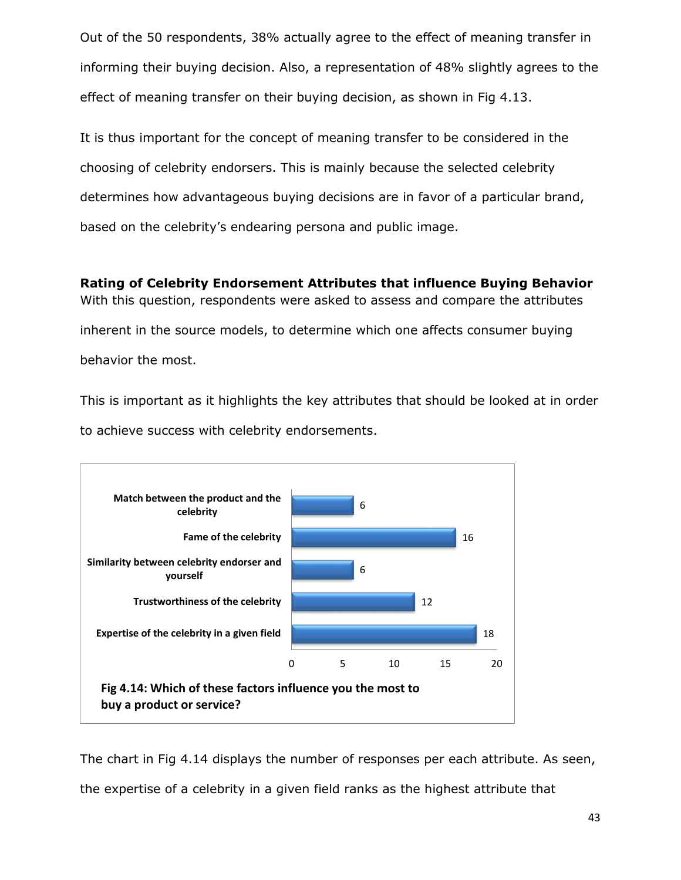Out of the 50 respondents, 38% actually agree to the effect of meaning transfer in informing their buying decision. Also, a representation of 48% slightly agrees to the effect of meaning transfer on their buying decision, as shown in Fig 4.13.

It is thus important for the concept of meaning transfer to be considered in the choosing of celebrity endorsers. This is mainly because the selected celebrity determines how advantageous buying decisions are in favor of a particular brand, based on the celebrity's endearing persona and public image.

<span id="page-47-0"></span>**Rating of Celebrity Endorsement Attributes that influence Buying Behavior** With this question, respondents were asked to assess and compare the attributes inherent in the source models, to determine which one affects consumer buying behavior the most.

This is important as it highlights the key attributes that should be looked at in order to achieve success with celebrity endorsements.



The chart in Fig 4.14 displays the number of responses per each attribute. As seen, the expertise of a celebrity in a given field ranks as the highest attribute that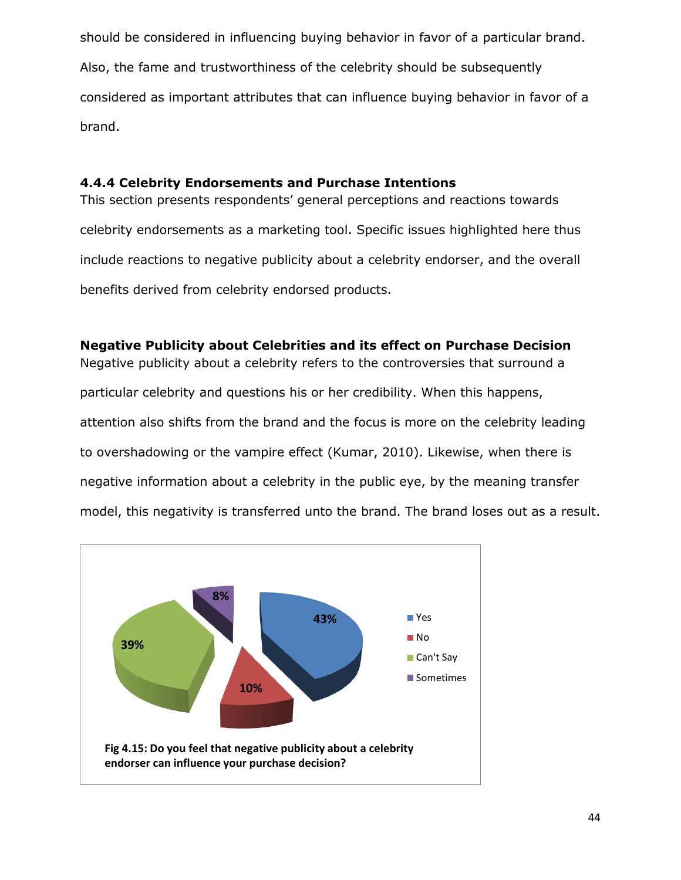should be considered in influencing buying behavior in favor of a particular brand. Also, the fame and trustworthiness of the celebrity should be subsequently considered as important attributes that can influence buying behavior in favor of a brand.

## <span id="page-48-0"></span>**4.4.4 Celebrity Endorsements and Purchase Intentions**

This section presents respondents' general perceptions and reactions towards celebrity endorsements as a marketing tool. Specific issues highlighted here thus include reactions to negative publicity about a celebrity endorser, and the overall benefits derived from celebrity endorsed products.

## <span id="page-48-1"></span>**Negative Publicity about Celebrities and its effect on Purchase Decision**

Negative publicity about a celebrity refers to the controversies that surround a particular celebrity and questions his or her credibility. When this happens, attention also shifts from the brand and the focus is more on the celebrity leading to overshadowing or the vampire effect (Kumar, 2010). Likewise, when there is negative information about a celebrity in the public eye, by the meaning transfer model, this negativity is transferred unto the brand. The brand loses out as a result.

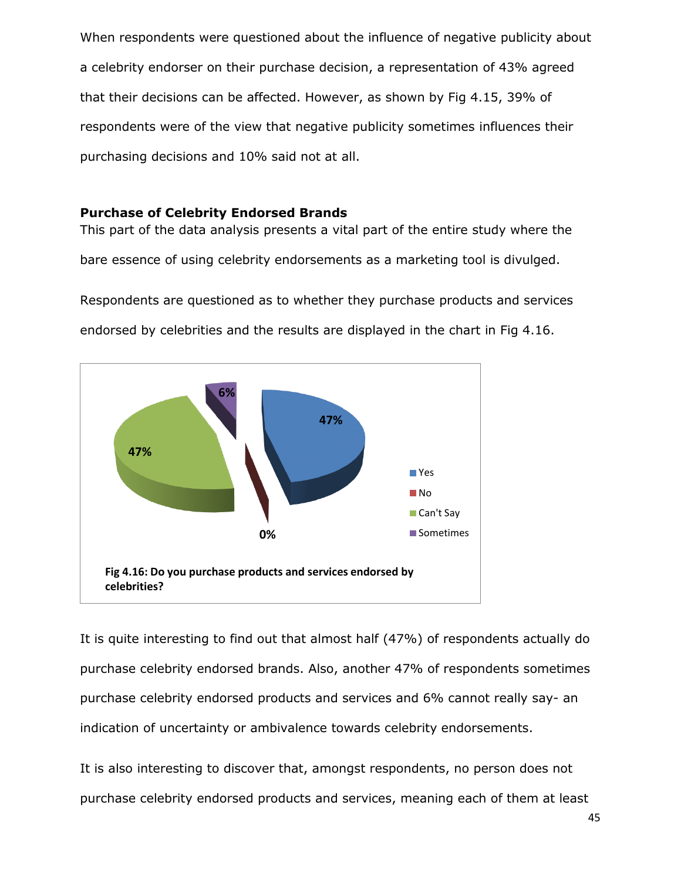When respondents were questioned about the influence of negative publicity about a celebrity endorser on their purchase decision, a representation of 43% agreed that their decisions can be affected. However, as shown by Fig 4.15, 39% of respondents were of the view that negative publicity sometimes influences their purchasing decisions and 10% said not at all.

## <span id="page-49-0"></span>**Purchase of Celebrity Endorsed Brands**

This part of the data analysis presents a vital part of the entire study where the bare essence of using celebrity endorsements as a marketing tool is divulged.

Respondents are questioned as to whether they purchase products and services endorsed by celebrities and the results are displayed in the chart in Fig 4.16.



It is quite interesting to find out that almost half (47%) of respondents actually do purchase celebrity endorsed brands. Also, another 47% of respondents sometimes purchase celebrity endorsed products and services and 6% cannot really say- an indication of uncertainty or ambivalence towards celebrity endorsements.

It is also interesting to discover that, amongst respondents, no person does not purchase celebrity endorsed products and services, meaning each of them at least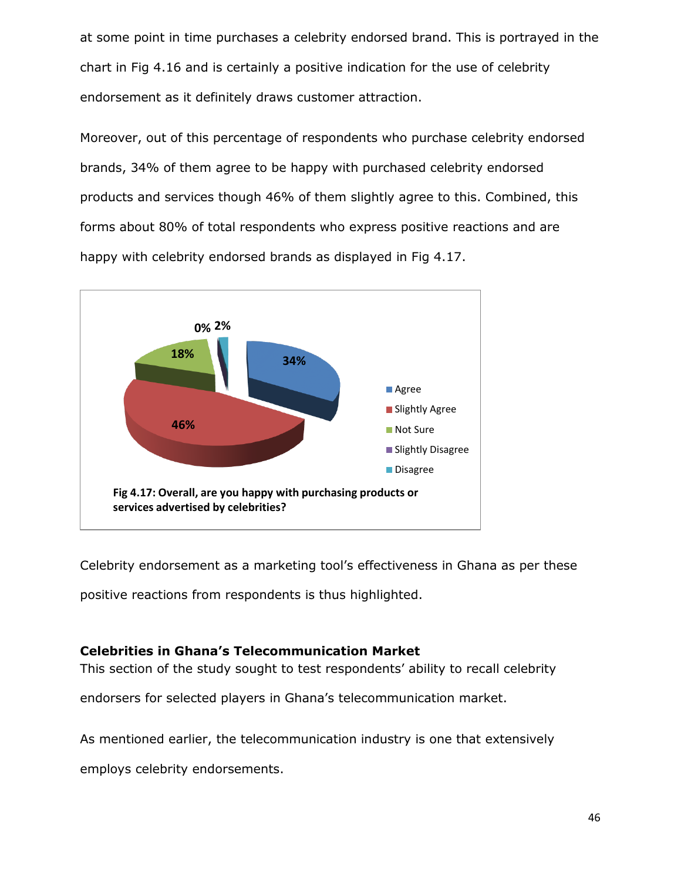at some point in time purchases a celebrity endorsed brand. This is portrayed in the chart in Fig 4.16 and is certainly a positive indication for the use of celebrity endorsement as it definitely draws customer attraction.

Moreover, out of this percentage of respondents who purchase celebrity endorsed brands, 34% of them agree to be happy with purchased celebrity endorsed products and services though 46% of them slightly agree to this. Combined, this forms about 80% of total respondents who express positive reactions and are happy with celebrity endorsed brands as displayed in Fig 4.17.



Celebrity endorsement as a marketing tool's effectiveness in Ghana as per these positive reactions from respondents is thus highlighted.

## <span id="page-50-0"></span>**Celebrities in Ghana's Telecommunication Market**

This section of the study sought to test respondents' ability to recall celebrity

endorsers for selected players in Ghana's telecommunication market.

As mentioned earlier, the telecommunication industry is one that extensively

employs celebrity endorsements.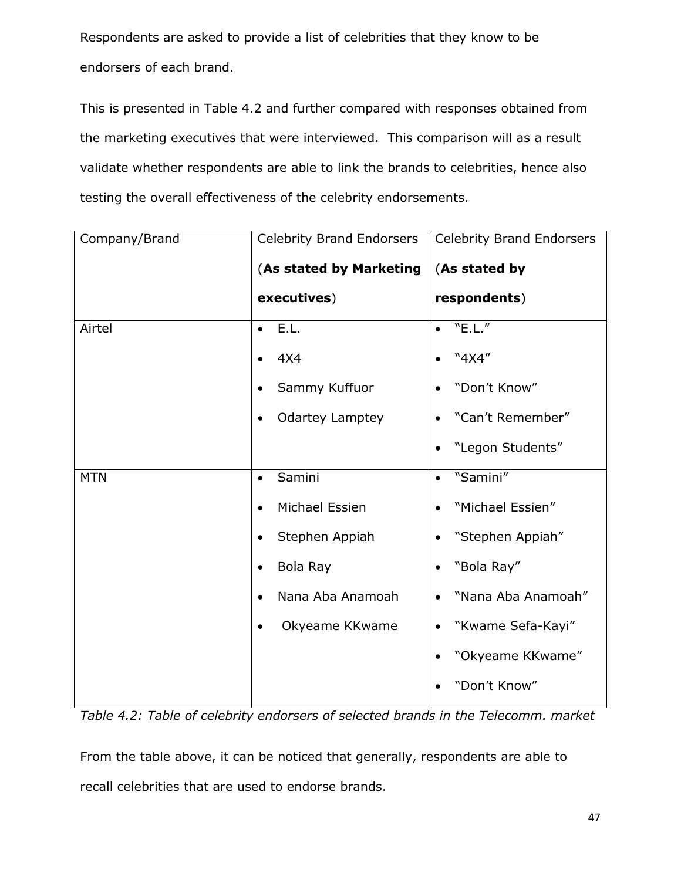Respondents are asked to provide a list of celebrities that they know to be endorsers of each brand.

This is presented in Table 4.2 and further compared with responses obtained from the marketing executives that were interviewed. This comparison will as a result validate whether respondents are able to link the brands to celebrities, hence also testing the overall effectiveness of the celebrity endorsements.

| Company/Brand | <b>Celebrity Brand Endorsers</b>    | <b>Celebrity Brand Endorsers</b> |
|---------------|-------------------------------------|----------------------------------|
|               | (As stated by Marketing             | (As stated by                    |
|               | executives)                         | respondents)                     |
| Airtel        | E.L.<br>$\bullet$                   | "E.L."                           |
|               | 4X4<br>$\bullet$                    | "4X4"                            |
|               | Sammy Kuffuor                       | "Don't Know"                     |
|               | <b>Odartey Lamptey</b><br>$\bullet$ | "Can't Remember"                 |
|               |                                     | "Legon Students"                 |
| <b>MTN</b>    | Samini<br>$\bullet$                 | "Samini"                         |
|               | Michael Essien<br>$\bullet$         | "Michael Essien"                 |
|               | Stephen Appiah<br>$\bullet$         | "Stephen Appiah"<br>٠            |
|               | Bola Ray<br>$\bullet$               | "Bola Ray"                       |
|               | Nana Aba Anamoah<br>$\bullet$       | "Nana Aba Anamoah"<br>$\bullet$  |
|               | Okyeame KKwame<br>$\bullet$         | "Kwame Sefa-Kayi"<br>$\bullet$   |
|               |                                     | "Okyeame KKwame"                 |
|               |                                     | "Don't Know"                     |

*Table 4.2: Table of celebrity endorsers of selected brands in the Telecomm. market*

From the table above, it can be noticed that generally, respondents are able to recall celebrities that are used to endorse brands.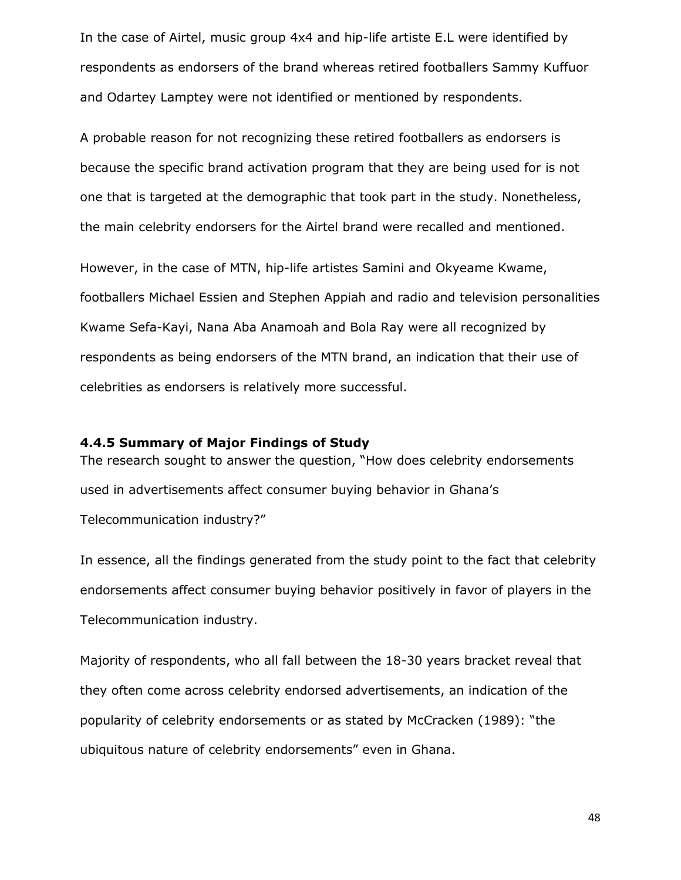In the case of Airtel, music group 4x4 and hip-life artiste E.L were identified by respondents as endorsers of the brand whereas retired footballers Sammy Kuffuor and Odartey Lamptey were not identified or mentioned by respondents.

A probable reason for not recognizing these retired footballers as endorsers is because the specific brand activation program that they are being used for is not one that is targeted at the demographic that took part in the study. Nonetheless, the main celebrity endorsers for the Airtel brand were recalled and mentioned.

However, in the case of MTN, hip-life artistes Samini and Okyeame Kwame, footballers Michael Essien and Stephen Appiah and radio and television personalities Kwame Sefa-Kayi, Nana Aba Anamoah and Bola Ray were all recognized by respondents as being endorsers of the MTN brand, an indication that their use of celebrities as endorsers is relatively more successful.

#### <span id="page-52-0"></span>**4.4.5 Summary of Major Findings of Study**

The research sought to answer the question, "How does celebrity endorsements used in advertisements affect consumer buying behavior in Ghana's Telecommunication industry?"

In essence, all the findings generated from the study point to the fact that celebrity endorsements affect consumer buying behavior positively in favor of players in the Telecommunication industry.

Majority of respondents, who all fall between the 18-30 years bracket reveal that they often come across celebrity endorsed advertisements, an indication of the popularity of celebrity endorsements or as stated by McCracken (1989): "the ubiquitous nature of celebrity endorsements" even in Ghana.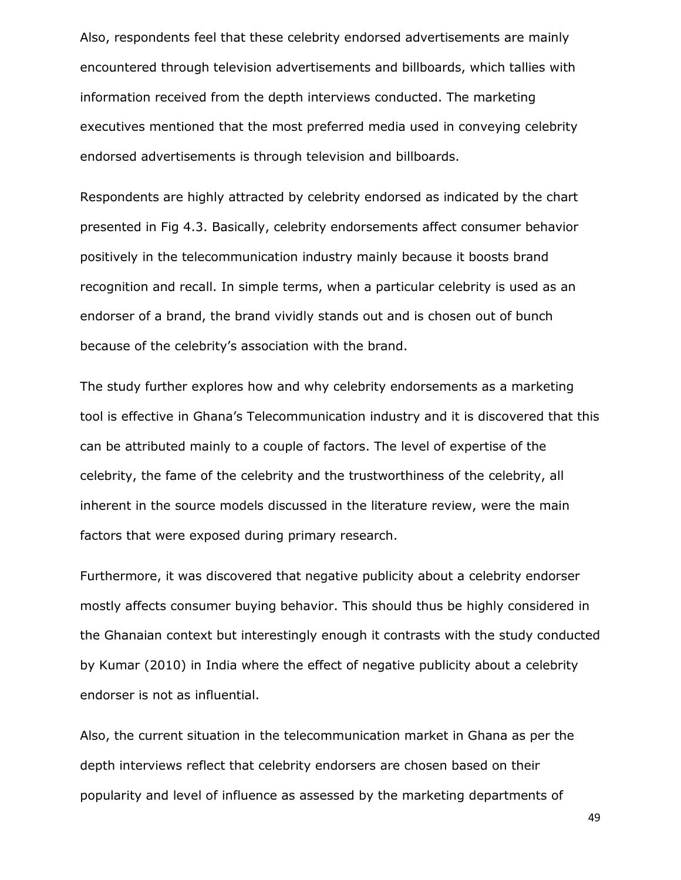Also, respondents feel that these celebrity endorsed advertisements are mainly encountered through television advertisements and billboards, which tallies with information received from the depth interviews conducted. The marketing executives mentioned that the most preferred media used in conveying celebrity endorsed advertisements is through television and billboards.

Respondents are highly attracted by celebrity endorsed as indicated by the chart presented in Fig 4.3. Basically, celebrity endorsements affect consumer behavior positively in the telecommunication industry mainly because it boosts brand recognition and recall. In simple terms, when a particular celebrity is used as an endorser of a brand, the brand vividly stands out and is chosen out of bunch because of the celebrity's association with the brand.

The study further explores how and why celebrity endorsements as a marketing tool is effective in Ghana's Telecommunication industry and it is discovered that this can be attributed mainly to a couple of factors. The level of expertise of the celebrity, the fame of the celebrity and the trustworthiness of the celebrity, all inherent in the source models discussed in the literature review, were the main factors that were exposed during primary research.

Furthermore, it was discovered that negative publicity about a celebrity endorser mostly affects consumer buying behavior. This should thus be highly considered in the Ghanaian context but interestingly enough it contrasts with the study conducted by Kumar (2010) in India where the effect of negative publicity about a celebrity endorser is not as influential.

Also, the current situation in the telecommunication market in Ghana as per the depth interviews reflect that celebrity endorsers are chosen based on their popularity and level of influence as assessed by the marketing departments of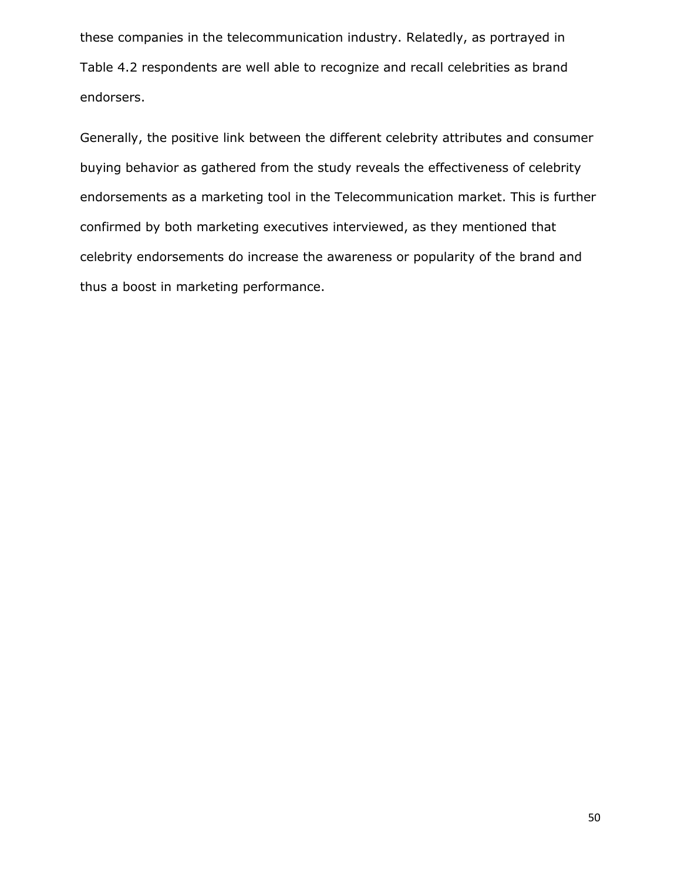these companies in the telecommunication industry. Relatedly, as portrayed in Table 4.2 respondents are well able to recognize and recall celebrities as brand endorsers.

Generally, the positive link between the different celebrity attributes and consumer buying behavior as gathered from the study reveals the effectiveness of celebrity endorsements as a marketing tool in the Telecommunication market. This is further confirmed by both marketing executives interviewed, as they mentioned that celebrity endorsements do increase the awareness or popularity of the brand and thus a boost in marketing performance.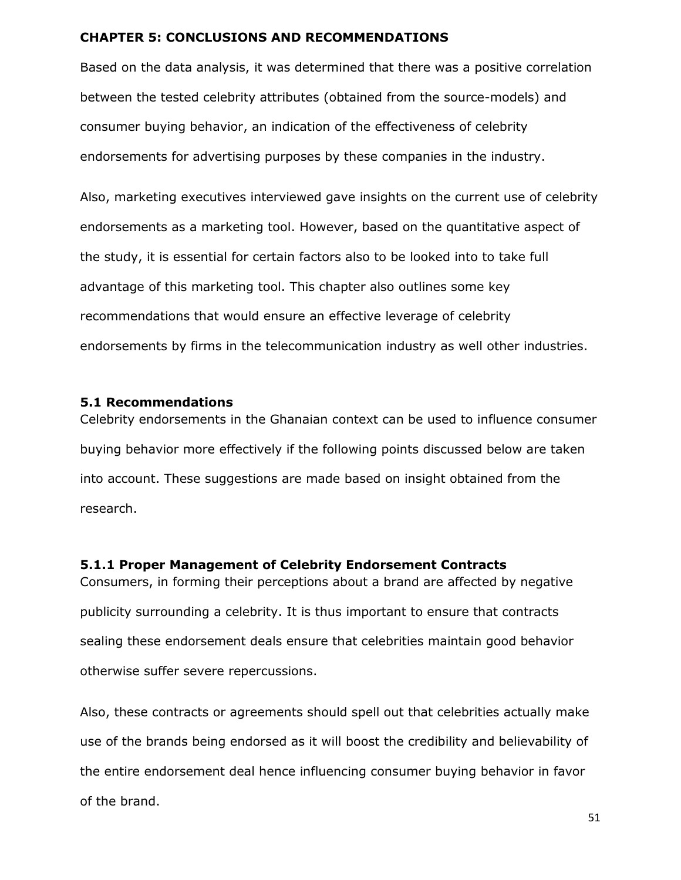## <span id="page-55-0"></span>**CHAPTER 5: CONCLUSIONS AND RECOMMENDATIONS**

Based on the data analysis, it was determined that there was a positive correlation between the tested celebrity attributes (obtained from the source-models) and consumer buying behavior, an indication of the effectiveness of celebrity endorsements for advertising purposes by these companies in the industry.

Also, marketing executives interviewed gave insights on the current use of celebrity endorsements as a marketing tool. However, based on the quantitative aspect of the study, it is essential for certain factors also to be looked into to take full advantage of this marketing tool. This chapter also outlines some key recommendations that would ensure an effective leverage of celebrity endorsements by firms in the telecommunication industry as well other industries.

#### <span id="page-55-1"></span>**5.1 Recommendations**

Celebrity endorsements in the Ghanaian context can be used to influence consumer buying behavior more effectively if the following points discussed below are taken into account. These suggestions are made based on insight obtained from the research.

#### <span id="page-55-2"></span>**5.1.1 Proper Management of Celebrity Endorsement Contracts**

Consumers, in forming their perceptions about a brand are affected by negative publicity surrounding a celebrity. It is thus important to ensure that contracts sealing these endorsement deals ensure that celebrities maintain good behavior otherwise suffer severe repercussions.

Also, these contracts or agreements should spell out that celebrities actually make use of the brands being endorsed as it will boost the credibility and believability of the entire endorsement deal hence influencing consumer buying behavior in favor of the brand.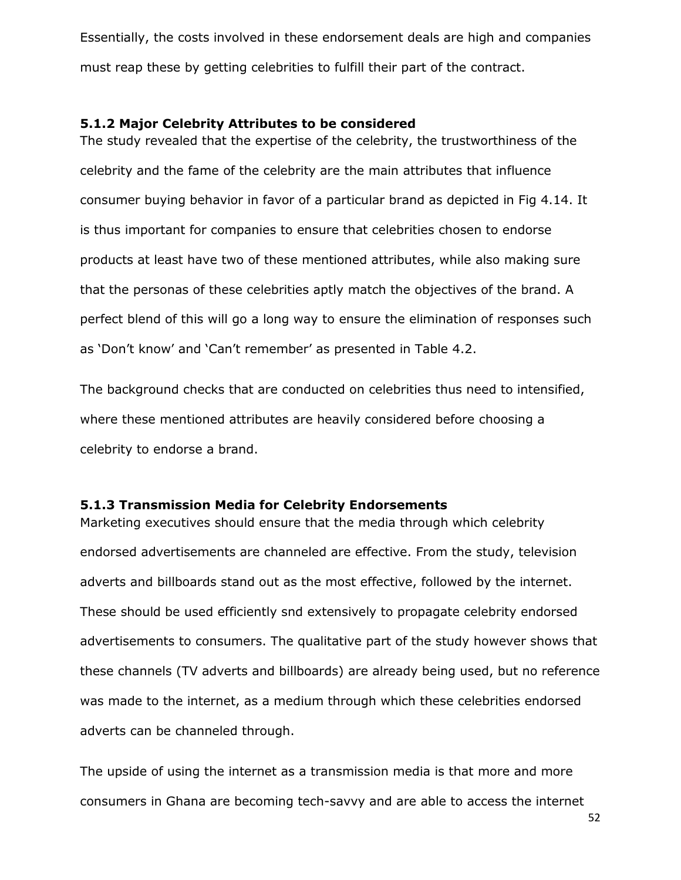Essentially, the costs involved in these endorsement deals are high and companies must reap these by getting celebrities to fulfill their part of the contract.

#### <span id="page-56-0"></span>**5.1.2 Major Celebrity Attributes to be considered**

The study revealed that the expertise of the celebrity, the trustworthiness of the celebrity and the fame of the celebrity are the main attributes that influence consumer buying behavior in favor of a particular brand as depicted in Fig 4.14. It is thus important for companies to ensure that celebrities chosen to endorse products at least have two of these mentioned attributes, while also making sure that the personas of these celebrities aptly match the objectives of the brand. A perfect blend of this will go a long way to ensure the elimination of responses such as 'Don't know' and 'Can't remember' as presented in Table 4.2.

The background checks that are conducted on celebrities thus need to intensified, where these mentioned attributes are heavily considered before choosing a celebrity to endorse a brand.

## <span id="page-56-1"></span>**5.1.3 Transmission Media for Celebrity Endorsements**

Marketing executives should ensure that the media through which celebrity endorsed advertisements are channeled are effective. From the study, television adverts and billboards stand out as the most effective, followed by the internet. These should be used efficiently snd extensively to propagate celebrity endorsed advertisements to consumers. The qualitative part of the study however shows that these channels (TV adverts and billboards) are already being used, but no reference was made to the internet, as a medium through which these celebrities endorsed adverts can be channeled through.

The upside of using the internet as a transmission media is that more and more consumers in Ghana are becoming tech-savvy and are able to access the internet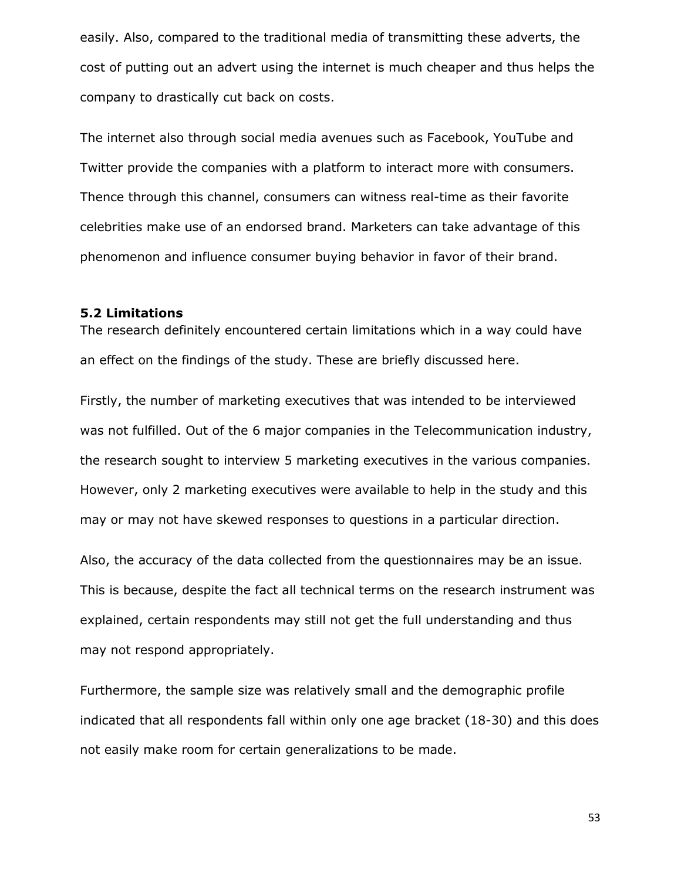easily. Also, compared to the traditional media of transmitting these adverts, the cost of putting out an advert using the internet is much cheaper and thus helps the company to drastically cut back on costs.

The internet also through social media avenues such as Facebook, YouTube and Twitter provide the companies with a platform to interact more with consumers. Thence through this channel, consumers can witness real-time as their favorite celebrities make use of an endorsed brand. Marketers can take advantage of this phenomenon and influence consumer buying behavior in favor of their brand.

#### <span id="page-57-0"></span>**5.2 Limitations**

The research definitely encountered certain limitations which in a way could have an effect on the findings of the study. These are briefly discussed here.

Firstly, the number of marketing executives that was intended to be interviewed was not fulfilled. Out of the 6 major companies in the Telecommunication industry, the research sought to interview 5 marketing executives in the various companies. However, only 2 marketing executives were available to help in the study and this may or may not have skewed responses to questions in a particular direction.

Also, the accuracy of the data collected from the questionnaires may be an issue. This is because, despite the fact all technical terms on the research instrument was explained, certain respondents may still not get the full understanding and thus may not respond appropriately.

Furthermore, the sample size was relatively small and the demographic profile indicated that all respondents fall within only one age bracket (18-30) and this does not easily make room for certain generalizations to be made.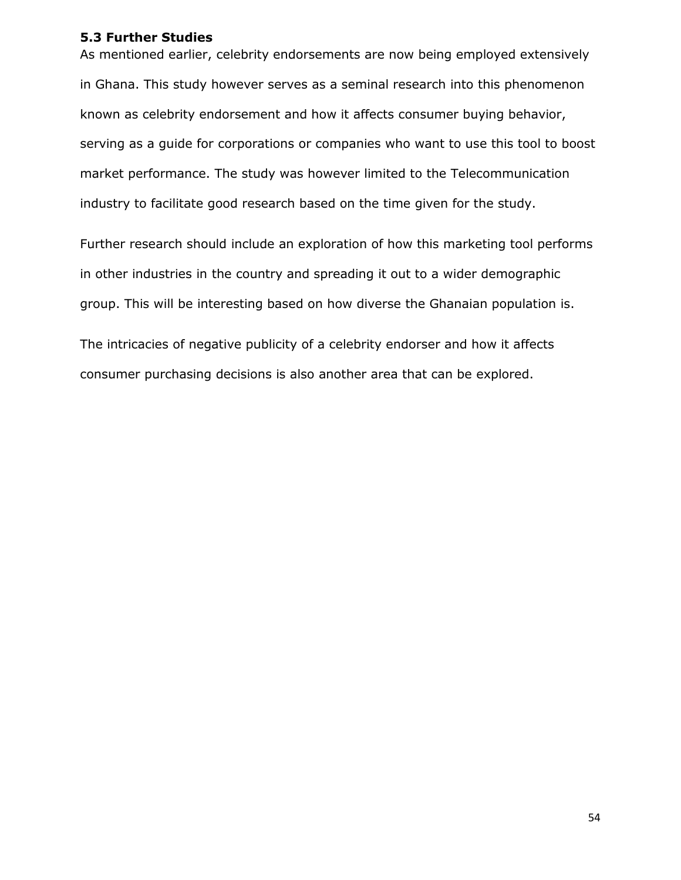## <span id="page-58-0"></span>**5.3 Further Studies**

As mentioned earlier, celebrity endorsements are now being employed extensively in Ghana. This study however serves as a seminal research into this phenomenon known as celebrity endorsement and how it affects consumer buying behavior, serving as a guide for corporations or companies who want to use this tool to boost market performance. The study was however limited to the Telecommunication industry to facilitate good research based on the time given for the study.

Further research should include an exploration of how this marketing tool performs in other industries in the country and spreading it out to a wider demographic group. This will be interesting based on how diverse the Ghanaian population is.

The intricacies of negative publicity of a celebrity endorser and how it affects consumer purchasing decisions is also another area that can be explored.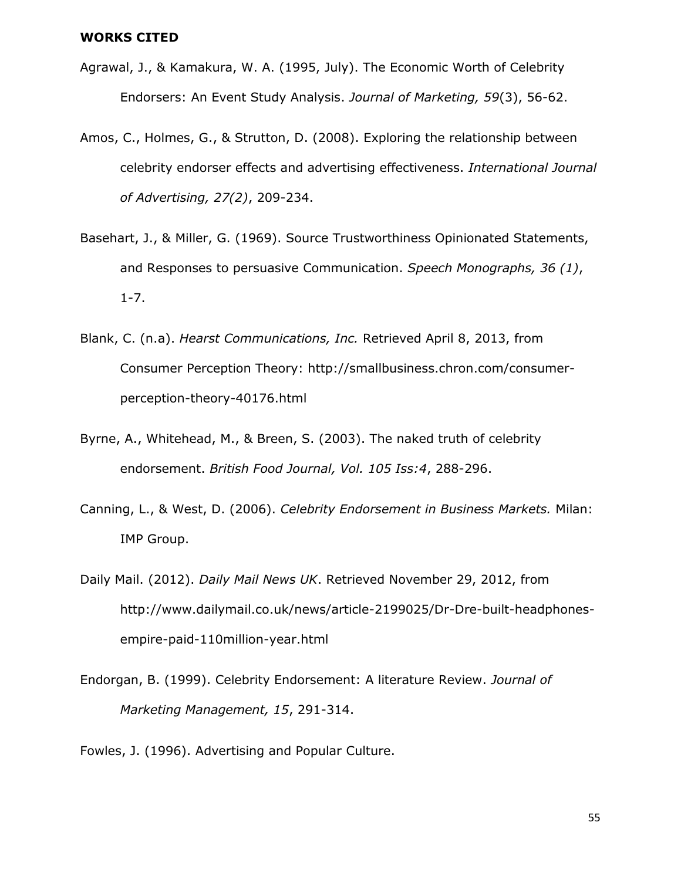#### <span id="page-59-0"></span>**WORKS CITED**

- Agrawal, J., & Kamakura, W. A. (1995, July). The Economic Worth of Celebrity Endorsers: An Event Study Analysis. *Journal of Marketing, 59*(3), 56-62.
- Amos, C., Holmes, G., & Strutton, D. (2008). Exploring the relationship between celebrity endorser effects and advertising effectiveness. *International Journal of Advertising, 27(2)*, 209-234.
- Basehart, J., & Miller, G. (1969). Source Trustworthiness Opinionated Statements, and Responses to persuasive Communication. *Speech Monographs, 36 (1)*, 1-7.
- Blank, C. (n.a). *Hearst Communications, Inc.* Retrieved April 8, 2013, from Consumer Perception Theory: http://smallbusiness.chron.com/consumerperception-theory-40176.html
- Byrne, A., Whitehead, M., & Breen, S. (2003). The naked truth of celebrity endorsement. *British Food Journal, Vol. 105 Iss:4*, 288-296.
- Canning, L., & West, D. (2006). *Celebrity Endorsement in Business Markets.* Milan: IMP Group.
- Daily Mail. (2012). *Daily Mail News UK*. Retrieved November 29, 2012, from http://www.dailymail.co.uk/news/article-2199025/Dr-Dre-built-headphonesempire-paid-110million-year.html
- Endorgan, B. (1999). Celebrity Endorsement: A literature Review. *Journal of Marketing Management, 15*, 291-314.

Fowles, J. (1996). Advertising and Popular Culture.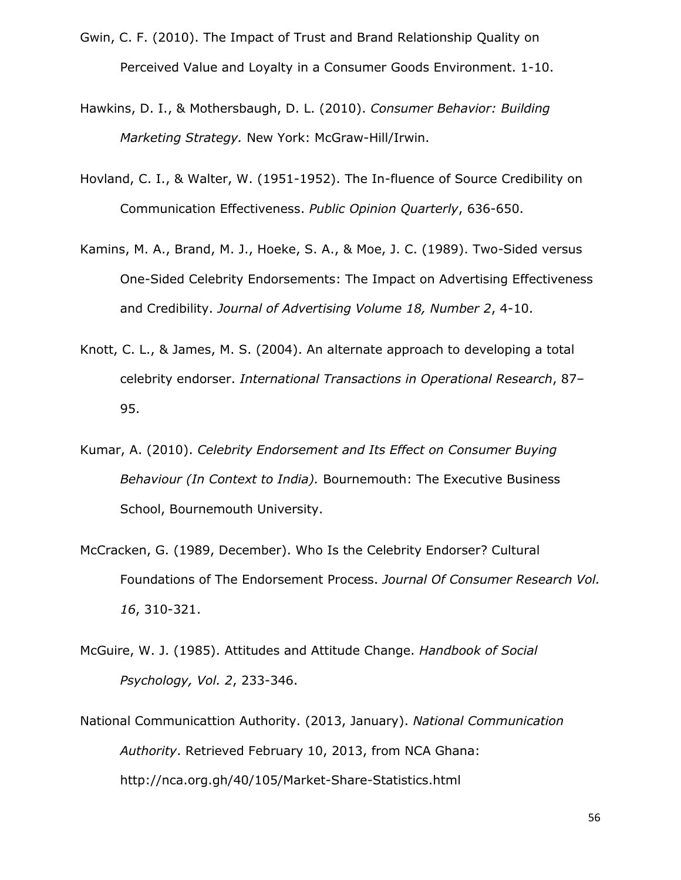- Gwin, C. F. (2010). The Impact of Trust and Brand Relationship Quality on Perceived Value and Loyalty in a Consumer Goods Environment. 1-10.
- Hawkins, D. I., & Mothersbaugh, D. L. (2010). *Consumer Behavior: Building Marketing Strategy.* New York: McGraw-Hill/Irwin.
- Hovland, C. I., & Walter, W. (1951-1952). The In-fluence of Source Credibility on Communication Effectiveness. *Public Opinion Quarterly*, 636-650.
- Kamins, M. A., Brand, M. J., Hoeke, S. A., & Moe, J. C. (1989). Two-Sided versus One-Sided Celebrity Endorsements: The Impact on Advertising Effectiveness and Credibility. *Journal of Advertising Volume 18, Number 2*, 4-10.
- Knott, C. L., & James, M. S. (2004). An alternate approach to developing a total celebrity endorser. *International Transactions in Operational Research*, 87– 95.
- Kumar, A. (2010). *Celebrity Endorsement and Its Effect on Consumer Buying Behaviour (In Context to India).* Bournemouth: The Executive Business School, Bournemouth University.
- McCracken, G. (1989, December). Who Is the Celebrity Endorser? Cultural Foundations of The Endorsement Process. *Journal Of Consumer Research Vol. 16*, 310-321.
- McGuire, W. J. (1985). Attitudes and Attitude Change. *Handbook of Social Psychology, Vol. 2*, 233-346.
- National Communicattion Authority. (2013, January). *National Communication Authority*. Retrieved February 10, 2013, from NCA Ghana: http://nca.org.gh/40/105/Market-Share-Statistics.html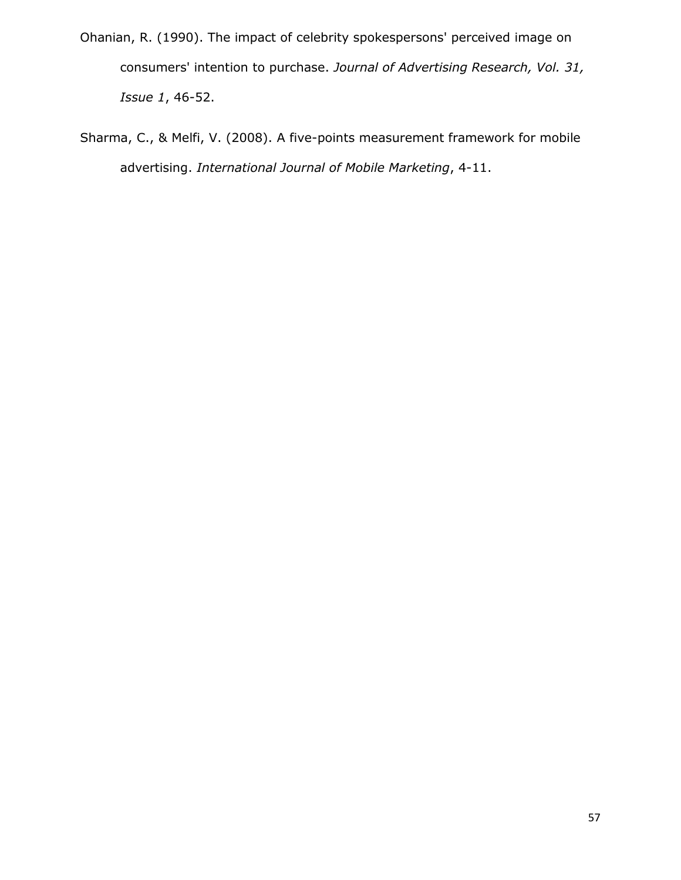- Ohanian, R. (1990). The impact of celebrity spokespersons' perceived image on consumers' intention to purchase. *Journal of Advertising Research, Vol. 31, Issue 1*, 46-52.
- Sharma, C., & Melfi, V. (2008). A five-points measurement framework for mobile advertising. *International Journal of Mobile Marketing*, 4-11.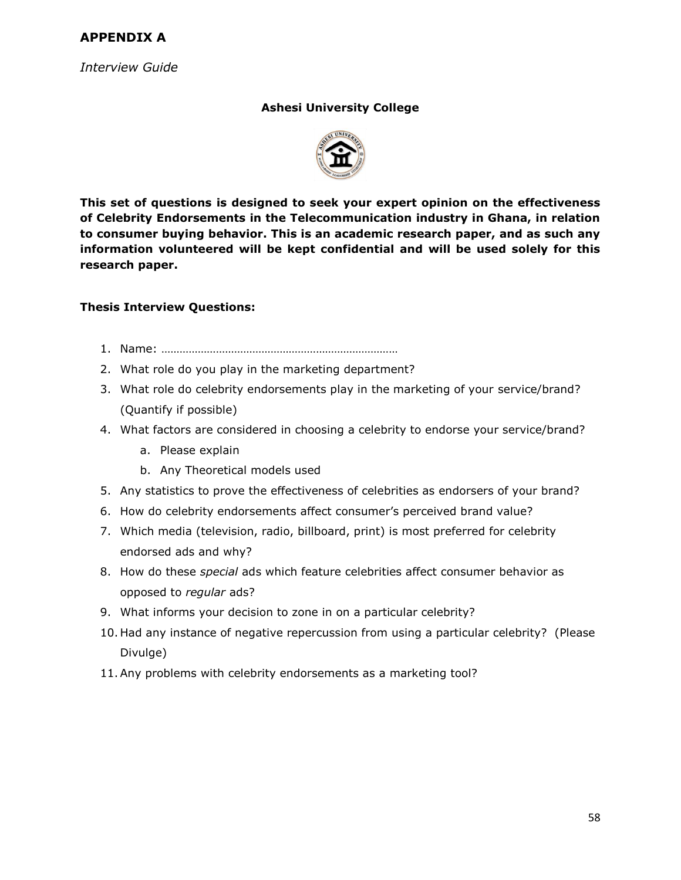## <span id="page-62-0"></span>**APPENDIX A**

*Interview Guide*

## **Ashesi University College**



**This set of questions is designed to seek your expert opinion on the effectiveness of Celebrity Endorsements in the Telecommunication industry in Ghana, in relation to consumer buying behavior. This is an academic research paper, and as such any information volunteered will be kept confidential and will be used solely for this research paper.**

## **Thesis Interview Questions:**

- 1. Name: ……………………………………………………………………
- 2. What role do you play in the marketing department?
- 3. What role do celebrity endorsements play in the marketing of your service/brand? (Quantify if possible)
- 4. What factors are considered in choosing a celebrity to endorse your service/brand?
	- a. Please explain
	- b. Any Theoretical models used
- 5. Any statistics to prove the effectiveness of celebrities as endorsers of your brand?
- 6. How do celebrity endorsements affect consumer's perceived brand value?
- 7. Which media (television, radio, billboard, print) is most preferred for celebrity endorsed ads and why?
- 8. How do these *special* ads which feature celebrities affect consumer behavior as opposed to *regular* ads?
- 9. What informs your decision to zone in on a particular celebrity?
- 10. Had any instance of negative repercussion from using a particular celebrity? (Please Divulge)
- <span id="page-62-1"></span>11.Any problems with celebrity endorsements as a marketing tool?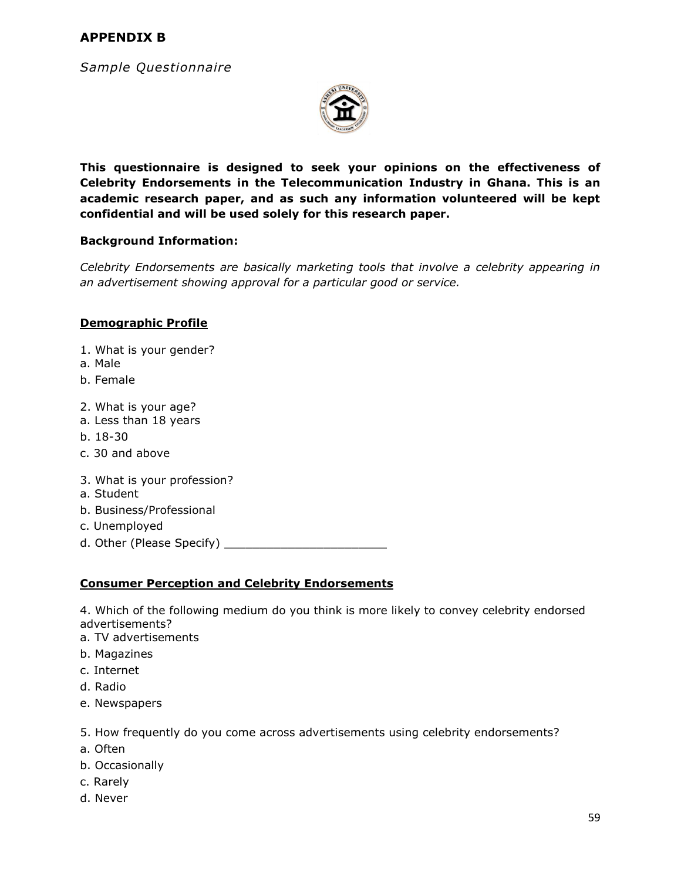## **APPENDIX B**

*Sample Questionnaire* 



**This questionnaire is designed to seek your opinions on the effectiveness of Celebrity Endorsements in the Telecommunication Industry in Ghana. This is an academic research paper, and as such any information volunteered will be kept confidential and will be used solely for this research paper.**

#### **Background Information:**

*Celebrity Endorsements are basically marketing tools that involve a celebrity appearing in an advertisement showing approval for a particular good or service.*

#### **Demographic Profile**

- 1. What is your gender?
- a. Male
- b. Female
- 2. What is your age?
- a. Less than 18 years
- b. 18-30
- c. 30 and above
- 3. What is your profession?
- a. Student
- b. Business/Professional
- c. Unemployed
- d. Other (Please Specify) \_\_\_\_\_\_\_\_\_\_\_\_\_\_\_\_\_\_\_\_\_\_\_

## **Consumer Perception and Celebrity Endorsements**

4. Which of the following medium do you think is more likely to convey celebrity endorsed advertisements?

- a. TV advertisements
- b. Magazines
- c. Internet
- d. Radio
- e. Newspapers
- 5. How frequently do you come across advertisements using celebrity endorsements?
- a. Often
- b. Occasionally
- c. Rarely
- d. Never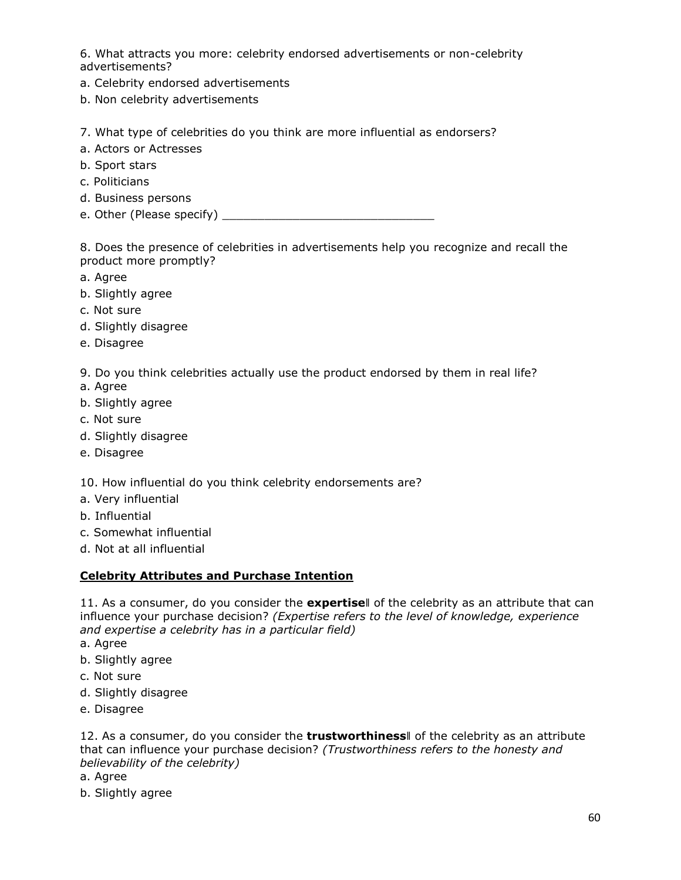6. What attracts you more: celebrity endorsed advertisements or non-celebrity advertisements?

- a. Celebrity endorsed advertisements
- b. Non celebrity advertisements

7. What type of celebrities do you think are more influential as endorsers?

- a. Actors or Actresses
- b. Sport stars
- c. Politicians
- d. Business persons
- e. Other (Please specify) example the control of the control of the control of the control of the control of the control of the control of the control of the control of the control of the control of the control of the cont

8. Does the presence of celebrities in advertisements help you recognize and recall the product more promptly?

- a. Agree
- b. Slightly agree
- c. Not sure
- d. Slightly disagree
- e. Disagree

9. Do you think celebrities actually use the product endorsed by them in real life?

- a. Agree
- b. Slightly agree
- c. Not sure
- d. Slightly disagree
- e. Disagree

10. How influential do you think celebrity endorsements are?

- a. Very influential
- b. Influential
- c. Somewhat influential
- d. Not at all influential

#### **Celebrity Attributes and Purchase Intention**

11. As a consumer, do you consider the **expertise**‖ of the celebrity as an attribute that can influence your purchase decision? *(Expertise refers to the level of knowledge, experience and expertise a celebrity has in a particular field)*

- a. Agree
- b. Slightly agree
- c. Not sure
- d. Slightly disagree
- e. Disagree

12. As a consumer, do you consider the **trustworthiness**‖ of the celebrity as an attribute that can influence your purchase decision? *(Trustworthiness refers to the honesty and believability of the celebrity)* 

- a. Agree
- b. Slightly agree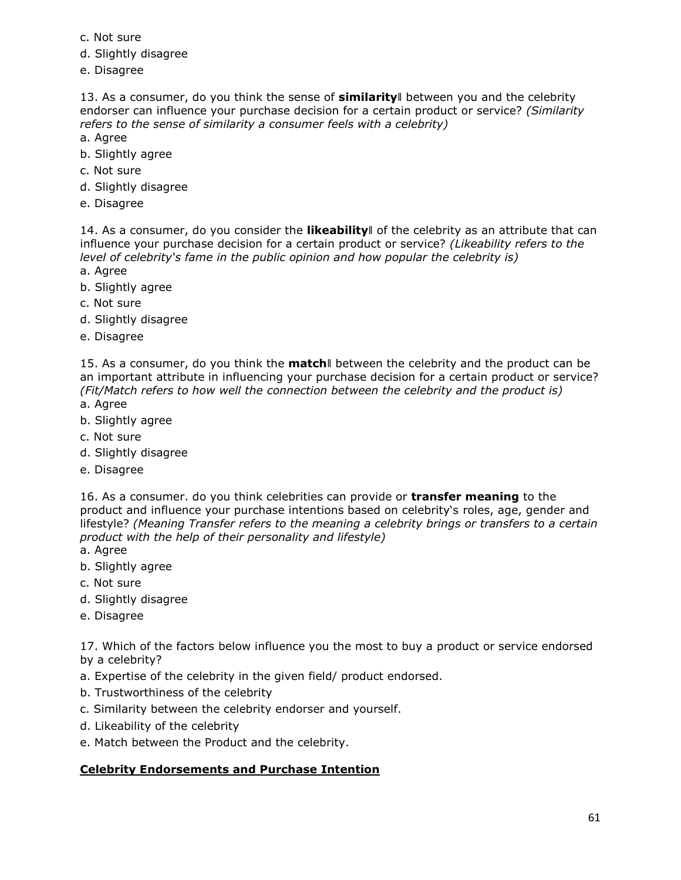- c. Not sure
- d. Slightly disagree
- e. Disagree

13. As a consumer, do you think the sense of **similarity**‖ between you and the celebrity endorser can influence your purchase decision for a certain product or service? *(Similarity refers to the sense of similarity a consumer feels with a celebrity)* 

- a. Agree
- b. Slightly agree
- c. Not sure
- d. Slightly disagree
- e. Disagree

14. As a consumer, do you consider the **likeability**‖ of the celebrity as an attribute that can influence your purchase decision for a certain product or service? *(Likeability refers to the level of celebrity's fame in the public opinion and how popular the celebrity is)*

- a. Agree
- b. Slightly agree
- c. Not sure
- d. Slightly disagree
- e. Disagree

15. As a consumer, do you think the **match**‖ between the celebrity and the product can be an important attribute in influencing your purchase decision for a certain product or service? *(Fit/Match refers to how well the connection between the celebrity and the product is)* a. Agree

- b. Slightly agree
- c. Not sure
- d. Slightly disagree
- e. Disagree

16. As a consumer. do you think celebrities can provide or **transfer meaning** to the product and influence your purchase intentions based on celebrity's roles, age, gender and lifestyle? *(Meaning Transfer refers to the meaning a celebrity brings or transfers to a certain product with the help of their personality and lifestyle)* 

- a. Agree
- b. Slightly agree
- c. Not sure
- d. Slightly disagree
- e. Disagree

17. Which of the factors below influence you the most to buy a product or service endorsed by a celebrity?

- a. Expertise of the celebrity in the given field/ product endorsed.
- b. Trustworthiness of the celebrity
- c. Similarity between the celebrity endorser and yourself.
- d. Likeability of the celebrity
- e. Match between the Product and the celebrity.

#### **Celebrity Endorsements and Purchase Intention**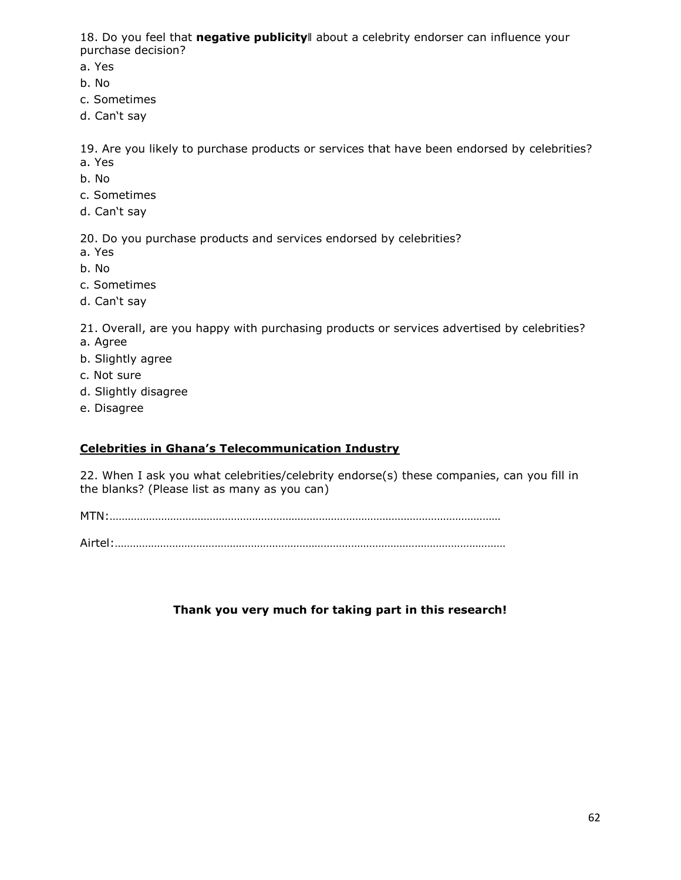18. Do you feel that **negative publicity**‖ about a celebrity endorser can influence your purchase decision?

a. Yes

- b. No
- c. Sometimes
- d. Can't say

19. Are you likely to purchase products or services that have been endorsed by celebrities? a. Yes

- b. No
- c. Sometimes
- d. Can't say

20. Do you purchase products and services endorsed by celebrities?

- a. Yes
- b. No
- c. Sometimes
- d. Can't say

21. Overall, are you happy with purchasing products or services advertised by celebrities? a. Agree

- b. Slightly agree
- c. Not sure
- d. Slightly disagree
- e. Disagree

## **Celebrities in Ghana's Telecommunication Industry**

22. When I ask you what celebrities/celebrity endorse(s) these companies, can you fill in the blanks? (Please list as many as you can)

MTN:…………………………………………………………………………………………………………………

Airtel:…………………………………………………………………………………………………………………

## <span id="page-66-0"></span>**Thank you very much for taking part in this research!**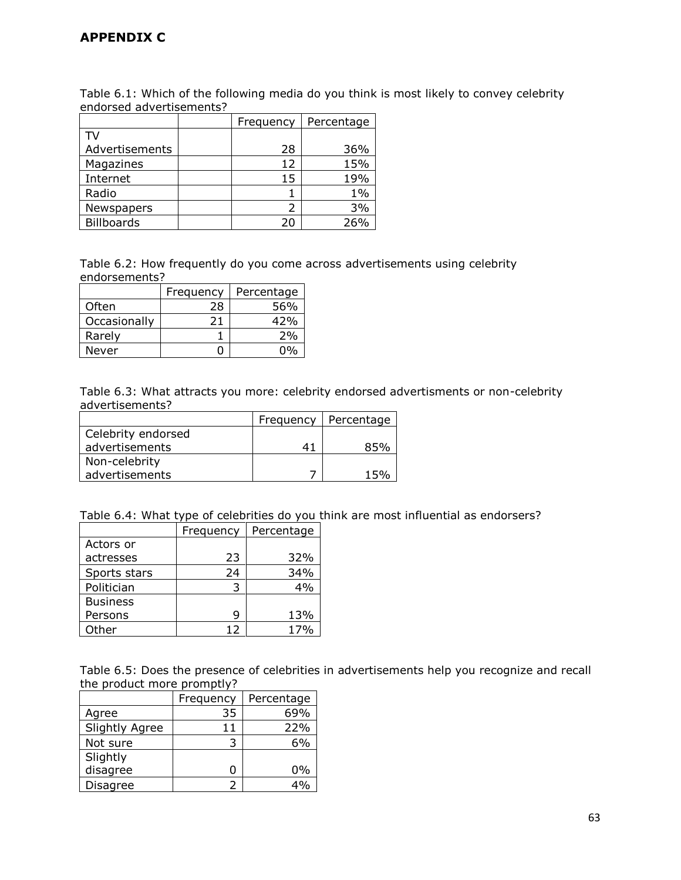## **APPENDIX C**

Table 6.1: Which of the following media do you think is most likely to convey celebrity endorsed advertisements?

|                   | Frequency | Percentage |
|-------------------|-----------|------------|
|                   |           |            |
| Advertisements    | 28        | 36%        |
| Magazines         | 12        | 15%        |
| Internet          | 15        | 19%        |
| Radio             |           | $1\%$      |
| Newspapers        | フ         | 3%         |
| <b>Billboards</b> | 20        | 26%        |

Table 6.2: How frequently do you come across advertisements using celebrity endorsements?

|              | Frequency | Percentage |
|--------------|-----------|------------|
| Often        | 28        | 56%        |
| Occasionally | 21        | 42%        |
| Rarely       |           | 2%         |
| Never        |           |            |

Table 6.3: What attracts you more: celebrity endorsed advertisments or non-celebrity advertisements?

|                    | Frequency | Percentage |
|--------------------|-----------|------------|
| Celebrity endorsed |           |            |
| advertisements     | 41        | 85%        |
| Non-celebrity      |           |            |
| advertisements     |           | 15%        |

Table 6.4: What type of celebrities do you think are most influential as endorsers?

|                 | Frequency | Percentage |
|-----------------|-----------|------------|
| Actors or       |           |            |
| actresses       | 23        | 32%        |
| Sports stars    | 24        | 34%        |
| Politician      | 3         | 4%         |
| <b>Business</b> |           |            |
| Persons         | q         | 13%        |
| Other           | 12        | 17%        |

Table 6.5: Does the presence of celebrities in advertisements help you recognize and recall the product more promptly?

|                       | Frequency | Percentage |
|-----------------------|-----------|------------|
| Agree                 | 35        | 69%        |
| <b>Slightly Agree</b> | 11        | 22%        |
| Not sure              | 3         | 6%         |
| Slightly              |           |            |
| disagree              | ი         | 0%         |
| Disagree              | っ         | 40/        |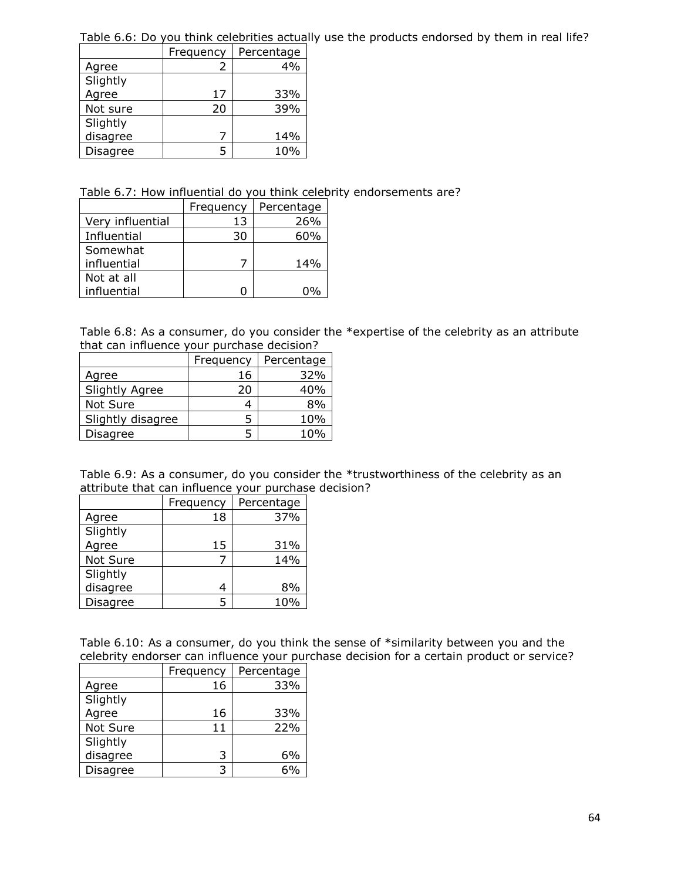Table 6.6: Do you think celebrities actually use the products endorsed by them in real life?

|                 | Frequency | Percentage |
|-----------------|-----------|------------|
| Agree           |           | 4%         |
| Slightly        |           |            |
| Agree           | 17        | 33%        |
| Not sure        | 20        | 39%        |
| Slightly        |           |            |
| disagree        |           | 14%        |
| <b>Disagree</b> |           | 10%        |

Table 6.7: How influential do you think celebrity endorsements are?

|                  | Frequency | Percentage |
|------------------|-----------|------------|
| Very influential | 13        | 26%        |
| Influential      | 30        | 60%        |
| Somewhat         |           |            |
| influential      |           | 14%        |
| Not at all       |           |            |
| influential      |           |            |

Table 6.8: As a consumer, do you consider the \*expertise of the celebrity as an attribute that can influence your purchase decision?

|                       | Frequency | Percentage |
|-----------------------|-----------|------------|
| Agree                 | 16        | 32%        |
| <b>Slightly Agree</b> | 20        | 40%        |
| Not Sure              |           | 8%         |
| Slightly disagree     | 5         | 10%        |
| Disagree              |           | 10%        |

| Table 6.9: As a consumer, do you consider the *trustworthiness of the celebrity as an |  |  |
|---------------------------------------------------------------------------------------|--|--|
| attribute that can influence your purchase decision?                                  |  |  |

|          | Frequency | Percentage |
|----------|-----------|------------|
| Agree    | 18        | 37%        |
| Slightly |           |            |
| Agree    | 15        | 31%        |
| Not Sure |           | 14%        |
| Slightly |           |            |
| disagree |           | 8%         |
| Disagree |           | 10%        |

Table 6.10: As a consumer, do you think the sense of \*similarity between you and the celebrity endorser can influence your purchase decision for a certain product or service?

|          | Frequency | Percentage |
|----------|-----------|------------|
| Agree    | 16        | 33%        |
| Slightly |           |            |
| Agree    | 16        | 33%        |
| Not Sure | 11        | 22%        |
| Slightly |           |            |
| disagree | っ         | 6%         |
| Disagree |           | ና%         |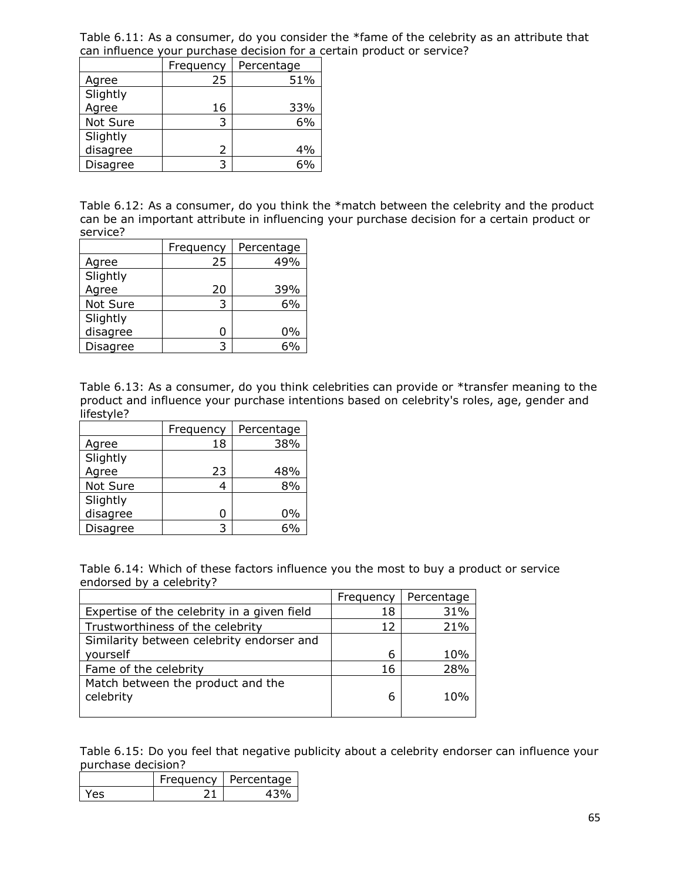Table 6.11: As a consumer, do you consider the \*fame of the celebrity as an attribute that can influence your purchase decision for a certain product or service?

|          | Frequency | Percentage |
|----------|-----------|------------|
| Agree    | 25        | 51%        |
| Slightly |           |            |
| Agree    | 16        | 33%        |
| Not Sure | 3         | 6%         |
| Slightly |           |            |
| disagree | 2         | 4%         |
| Disagree | 3         | 6%         |

Table 6.12: As a consumer, do you think the \*match between the celebrity and the product can be an important attribute in influencing your purchase decision for a certain product or service?

|          | Frequency | Percentage |
|----------|-----------|------------|
| Agree    | 25        | 49%        |
| Slightly |           |            |
| Agree    | 20        | 39%        |
| Not Sure |           | 6%         |
| Slightly |           |            |
| disagree |           | 0%         |
| Disagree |           |            |

Table 6.13: As a consumer, do you think celebrities can provide or \*transfer meaning to the product and influence your purchase intentions based on celebrity's roles, age, gender and lifestyle?

|          | Frequency | Percentage |
|----------|-----------|------------|
| Agree    | 18        | 38%        |
| Slightly |           |            |
| Agree    | 23        | 48%        |
| Not Sure |           | 8%         |
| Slightly |           |            |
| disagree |           | 0%         |
| Disagree |           |            |

Table 6.14: Which of these factors influence you the most to buy a product or service endorsed by a celebrity?

|                                                | Frequency | Percentage |
|------------------------------------------------|-----------|------------|
| Expertise of the celebrity in a given field    | 18        | 31%        |
| Trustworthiness of the celebrity               | 12        | 21%        |
| Similarity between celebrity endorser and      |           |            |
| yourself                                       | 6         | 10%        |
| Fame of the celebrity                          | 16        | 28%        |
| Match between the product and the<br>celebrity | 6         | 10%        |
|                                                |           |            |

Table 6.15: Do you feel that negative publicity about a celebrity endorser can influence your purchase decision?

|     | requency   Percentage |
|-----|-----------------------|
| 785 |                       |